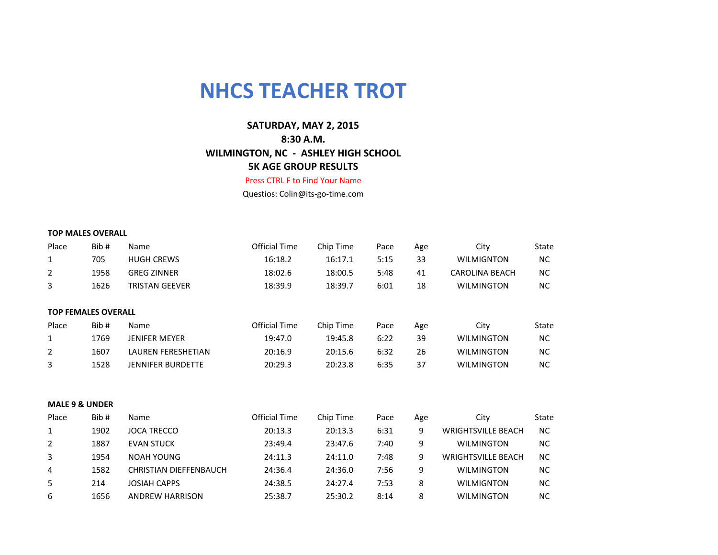## **NHCS TEACHER TROT**

## **SATURDAY, MAY 2, 2015 8:30 A.M. WILMINGTON, NC - ASHLEY HIGH SCHOOL 5K AGE GROUP RESULTS**

Press CTRL F to Find Your Name

Questios: Colin@its-go-time.com

## **TOP MALES OVERALL**

| Place | Bib#                       | Name                          | <b>Official Time</b> | Chip Time | Pace | Age | City                      | State     |
|-------|----------------------------|-------------------------------|----------------------|-----------|------|-----|---------------------------|-----------|
| 1     | 705                        | <b>HUGH CREWS</b>             | 16:18.2              | 16:17.1   | 5:15 | 33  | <b>WILMIGNTON</b>         | NC.       |
| 2     | 1958                       | <b>GREG ZINNER</b>            | 18:02.6              | 18:00.5   | 5:48 | 41  | <b>CAROLINA BEACH</b>     | NC.       |
| 3     | 1626                       | <b>TRISTAN GEEVER</b>         | 18:39.9              | 18:39.7   | 6:01 | 18  | <b>WILMINGTON</b>         | NC.       |
|       |                            |                               |                      |           |      |     |                           |           |
|       | <b>TOP FEMALES OVERALL</b> |                               |                      |           |      |     |                           |           |
| Place | Bib#                       | Name                          | <b>Official Time</b> | Chip Time | Pace | Age | City                      | State     |
| 1     | 1769                       | <b>JENIFER MEYER</b>          | 19:47.0              | 19:45.8   | 6:22 | 39  | <b>WILMINGTON</b>         | NC.       |
| 2     | 1607                       | <b>LAUREN FERESHETIAN</b>     | 20:16.9              | 20:15.6   | 6:32 | 26  | <b>WILMINGTON</b>         | NC.       |
| 3     | 1528                       | <b>JENNIFER BURDETTE</b>      | 20:29.3              | 20:23.8   | 6:35 | 37  | <b>WILMINGTON</b>         | NC.       |
|       |                            |                               |                      |           |      |     |                           |           |
|       | <b>MALE 9 &amp; UNDER</b>  |                               |                      |           |      |     |                           |           |
| Place | Bib#                       | Name                          | <b>Official Time</b> | Chip Time | Pace | Age | City                      | State     |
| 1     | 1902                       | <b>JOCA TRECCO</b>            | 20:13.3              | 20:13.3   | 6:31 | 9   | <b>WRIGHTSVILLE BEACH</b> | <b>NC</b> |
| 2     | 1887                       | <b>EVAN STUCK</b>             | 23:49.4              | 23:47.6   | 7:40 | 9   | <b>WILMINGTON</b>         | NC.       |
| 3     | 1954                       | <b>NOAH YOUNG</b>             | 24:11.3              | 24:11.0   | 7:48 | 9   | <b>WRIGHTSVILLE BEACH</b> | NC.       |
| 4     | 1582                       | <b>CHRISTIAN DIEFFENBAUCH</b> | 24:36.4              | 24:36.0   | 7:56 | 9   | <b>WILMINGTON</b>         | NC.       |
| 5     | 214                        | <b>JOSIAH CAPPS</b>           | 24:38.5              | 24:27.4   | 7:53 | 8   | <b>WILMIGNTON</b>         | NC.       |
| 6     | 1656                       | <b>ANDREW HARRISON</b>        | 25:38.7              | 25:30.2   | 8:14 | 8   | <b>WILMINGTON</b>         | NC.       |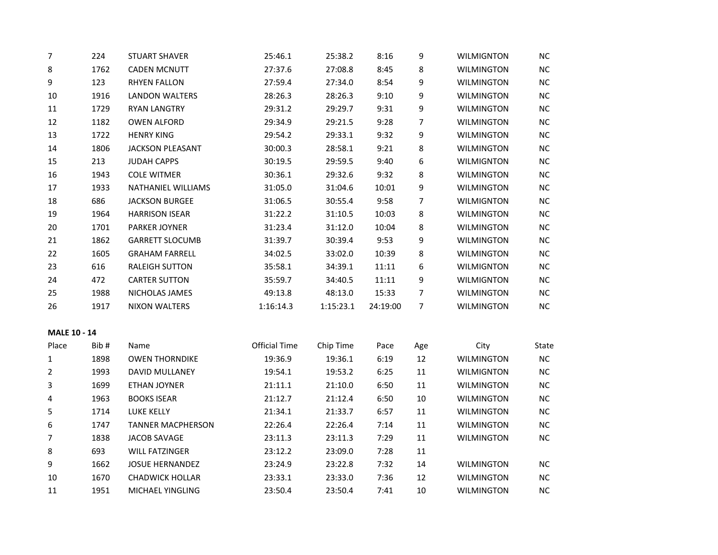| 7                   | 224  | <b>STUART SHAVER</b>     | 25:46.1              | 25:38.2   | 8:16     | 9              | <b>WILMIGNTON</b> | NC        |
|---------------------|------|--------------------------|----------------------|-----------|----------|----------------|-------------------|-----------|
| 8                   | 1762 | <b>CADEN MCNUTT</b>      | 27:37.6              | 27:08.8   | 8:45     | 8              | <b>WILMINGTON</b> | $NC$      |
| 9                   | 123  | <b>RHYEN FALLON</b>      | 27:59.4              | 27:34.0   | 8:54     | 9              | <b>WILMINGTON</b> | NC        |
| 10                  | 1916 | LANDON WALTERS           | 28:26.3              | 28:26.3   | 9:10     | 9              | <b>WILMINGTON</b> | NC        |
| 11                  | 1729 | <b>RYAN LANGTRY</b>      | 29:31.2              | 29:29.7   | 9:31     | 9              | <b>WILMINGTON</b> | $NC$      |
| 12                  | 1182 | <b>OWEN ALFORD</b>       | 29:34.9              | 29:21.5   | 9:28     | $\overline{7}$ | <b>WILMINGTON</b> | $NC$      |
| 13                  | 1722 | <b>HENRY KING</b>        | 29:54.2              | 29:33.1   | 9:32     | 9              | <b>WILMINGTON</b> | $NC$      |
| 14                  | 1806 | <b>JACKSON PLEASANT</b>  | 30:00.3              | 28:58.1   | 9:21     | 8              | <b>WILMINGTON</b> | $NC$      |
| 15                  | 213  | <b>JUDAH CAPPS</b>       | 30:19.5              | 29:59.5   | 9:40     | 6              | <b>WILMIGNTON</b> | NC        |
| 16                  | 1943 | <b>COLE WITMER</b>       | 30:36.1              | 29:32.6   | 9:32     | 8              | <b>WILMINGTON</b> | $NC$      |
| 17                  | 1933 | NATHANIEL WILLIAMS       | 31:05.0              | 31:04.6   | 10:01    | 9              | <b>WILMINGTON</b> | $NC$      |
| 18                  | 686  | <b>JACKSON BURGEE</b>    | 31:06.5              | 30:55.4   | 9:58     | $\overline{7}$ | <b>WILMIGNTON</b> | $NC$      |
| 19                  | 1964 | <b>HARRISON ISEAR</b>    | 31:22.2              | 31:10.5   | 10:03    | 8              | WILMINGTON        | NC        |
| 20                  | 1701 | PARKER JOYNER            | 31:23.4              | 31:12.0   | 10:04    | 8              | <b>WILMINGTON</b> | NC        |
| 21                  | 1862 | <b>GARRETT SLOCUMB</b>   | 31:39.7              | 30:39.4   | 9:53     | 9              | <b>WILMINGTON</b> | NC        |
| 22                  | 1605 | <b>GRAHAM FARRELL</b>    | 34:02.5              | 33:02.0   | 10:39    | 8              | <b>WILMINGTON</b> | $NC$      |
| 23                  | 616  | <b>RALEIGH SUTTON</b>    | 35:58.1              | 34:39.1   | 11:11    | 6              | <b>WILMIGNTON</b> | $NC$      |
| 24                  | 472  | <b>CARTER SUTTON</b>     | 35:59.7              | 34:40.5   | 11:11    | 9              | <b>WILMIGNTON</b> | $NC$      |
| 25                  | 1988 | NICHOLAS JAMES           | 49:13.8              | 48:13.0   | 15:33    | 7              | <b>WILMINGTON</b> | $NC$      |
| 26                  | 1917 | <b>NIXON WALTERS</b>     | 1:16:14.3            | 1:15:23.1 | 24:19:00 | $\overline{7}$ | <b>WILMINGTON</b> | NC        |
| <b>MALE 10 - 14</b> |      |                          |                      |           |          |                |                   |           |
| Place               | Bib# | Name                     | <b>Official Time</b> | Chip Time | Pace     | Age            | City              | State     |
| $\mathbf{1}$        | 1898 | <b>OWEN THORNDIKE</b>    | 19:36.9              | 19:36.1   | 6:19     | 12             | <b>WILMINGTON</b> | $NC$      |
| 2                   | 1993 | DAVID MULLANEY           | 19:54.1              | 19:53.2   | 6:25     | $11\,$         | <b>WILMIGNTON</b> | $NC$      |
| 3                   | 1699 | <b>ETHAN JOYNER</b>      | 21:11.1              | 21:10.0   | 6:50     | $11\,$         | <b>WILMINGTON</b> | $\sf NC$  |
| 4                   | 1963 | <b>BOOKS ISEAR</b>       | 21:12.7              | 21:12.4   | 6:50     | $10\,$         | <b>WILMINGTON</b> | $NC$      |
| 5                   | 1714 | LUKE KELLY               | 21:34.1              | 21:33.7   | 6:57     | $11\,$         | <b>WILMINGTON</b> | <b>NC</b> |
| 6                   | 1747 | <b>TANNER MACPHERSON</b> | 22:26.4              | 22:26.4   | 7:14     | $11\,$         | <b>WILMINGTON</b> | $NC$      |
| 7                   | 1838 | JACOB SAVAGE             | 23:11.3              | 23:11.3   | 7:29     | $11\,$         | <b>WILMINGTON</b> | NC        |
| 8                   | 693  | <b>WILL FATZINGER</b>    | 23:12.2              | 23:09.0   | 7:28     | 11             |                   |           |
| 9                   | 1662 | <b>JOSUE HERNANDEZ</b>   | 23:24.9              | 23:22.8   | 7:32     | 14             | <b>WILMINGTON</b> | NC        |
| 10                  | 1670 | <b>CHADWICK HOLLAR</b>   | 23:33.1              | 23:33.0   | 7:36     | 12             | <b>WILMINGTON</b> | <b>NC</b> |
| 11                  | 1951 | MICHAEL YINGLING         | 23:50.4              | 23:50.4   | 7:41     | 10             | WILMINGTON        | NC        |
|                     |      |                          |                      |           |          |                |                   |           |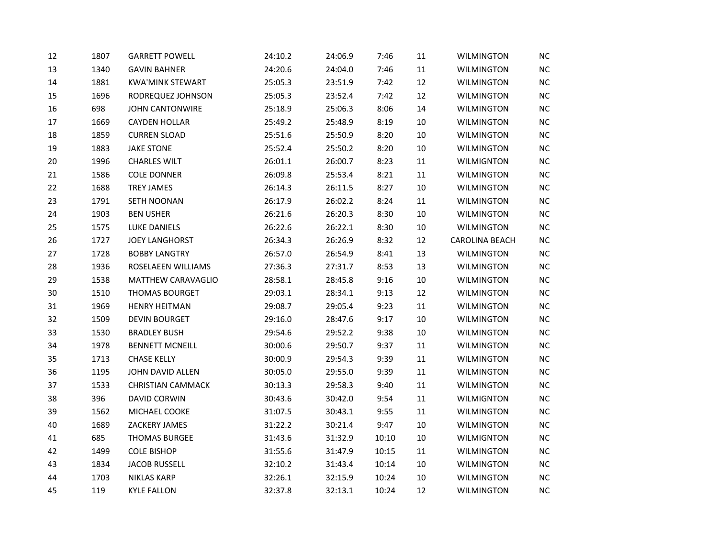| 12 | 1807 | <b>GARRETT POWELL</b>    | 24:10.2 | 24:06.9 | 7:46  | 11     | <b>WILMINGTON</b>     | <b>NC</b> |
|----|------|--------------------------|---------|---------|-------|--------|-----------------------|-----------|
| 13 | 1340 | <b>GAVIN BAHNER</b>      | 24:20.6 | 24:04.0 | 7:46  | 11     | <b>WILMINGTON</b>     | <b>NC</b> |
| 14 | 1881 | <b>KWA'MINK STEWART</b>  | 25:05.3 | 23:51.9 | 7:42  | 12     | <b>WILMINGTON</b>     | $NC$      |
| 15 | 1696 | RODREQUEZ JOHNSON        | 25:05.3 | 23:52.4 | 7:42  | 12     | <b>WILMINGTON</b>     | NC        |
| 16 | 698  | <b>JOHN CANTONWIRE</b>   | 25:18.9 | 25:06.3 | 8:06  | 14     | <b>WILMINGTON</b>     | NC        |
| 17 | 1669 | <b>CAYDEN HOLLAR</b>     | 25:49.2 | 25:48.9 | 8:19  | 10     | <b>WILMINGTON</b>     | $NC$      |
| 18 | 1859 | <b>CURREN SLOAD</b>      | 25:51.6 | 25:50.9 | 8:20  | 10     | <b>WILMINGTON</b>     | NC        |
| 19 | 1883 | <b>JAKE STONE</b>        | 25:52.4 | 25:50.2 | 8:20  | 10     | <b>WILMINGTON</b>     | $NC$      |
| 20 | 1996 | <b>CHARLES WILT</b>      | 26:01.1 | 26:00.7 | 8:23  | 11     | <b>WILMIGNTON</b>     | $NC$      |
| 21 | 1586 | <b>COLE DONNER</b>       | 26:09.8 | 25:53.4 | 8:21  | $11\,$ | <b>WILMINGTON</b>     | NC        |
| 22 | 1688 | <b>TREY JAMES</b>        | 26:14.3 | 26:11.5 | 8:27  | $10\,$ | <b>WILMINGTON</b>     | $NC$      |
| 23 | 1791 | SETH NOONAN              | 26:17.9 | 26:02.2 | 8:24  | 11     | <b>WILMINGTON</b>     | $NC$      |
| 24 | 1903 | <b>BEN USHER</b>         | 26:21.6 | 26:20.3 | 8:30  | 10     | <b>WILMINGTON</b>     | NC        |
| 25 | 1575 | LUKE DANIELS             | 26:22.6 | 26:22.1 | 8:30  | 10     | <b>WILMINGTON</b>     | NC        |
| 26 | 1727 | <b>JOEY LANGHORST</b>    | 26:34.3 | 26:26.9 | 8:32  | 12     | <b>CAROLINA BEACH</b> | NC        |
| 27 | 1728 | <b>BOBBY LANGTRY</b>     | 26:57.0 | 26:54.9 | 8:41  | 13     | WILMINGTON            | NC        |
| 28 | 1936 | ROSELAEEN WILLIAMS       | 27:36.3 | 27:31.7 | 8:53  | 13     | <b>WILMINGTON</b>     | $NC$      |
| 29 | 1538 | MATTHEW CARAVAGLIO       | 28:58.1 | 28:45.8 | 9:16  | $10\,$ | <b>WILMINGTON</b>     | $NC$      |
| 30 | 1510 | <b>THOMAS BOURGET</b>    | 29:03.1 | 28:34.1 | 9:13  | 12     | <b>WILMINGTON</b>     | $NC$      |
| 31 | 1969 | <b>HENRY HEITMAN</b>     | 29:08.7 | 29:05.4 | 9:23  | 11     | <b>WILMINGTON</b>     | NC        |
| 32 | 1509 | <b>DEVIN BOURGET</b>     | 29:16.0 | 28:47.6 | 9:17  | $10\,$ | <b>WILMINGTON</b>     | $NC$      |
| 33 | 1530 | <b>BRADLEY BUSH</b>      | 29:54.6 | 29:52.2 | 9:38  | 10     | <b>WILMINGTON</b>     | $NC$      |
| 34 | 1978 | <b>BENNETT MCNEILL</b>   | 30:00.6 | 29:50.7 | 9:37  | $11\,$ | <b>WILMINGTON</b>     | NC        |
| 35 | 1713 | <b>CHASE KELLY</b>       | 30:00.9 | 29:54.3 | 9:39  | $11\,$ | <b>WILMINGTON</b>     | NC        |
| 36 | 1195 | JOHN DAVID ALLEN         | 30:05.0 | 29:55.0 | 9:39  | 11     | <b>WILMINGTON</b>     | $NC$      |
| 37 | 1533 | <b>CHRISTIAN CAMMACK</b> | 30:13.3 | 29:58.3 | 9:40  | $11\,$ | <b>WILMINGTON</b>     | NC        |
| 38 | 396  | DAVID CORWIN             | 30:43.6 | 30:42.0 | 9:54  | 11     | <b>WILMIGNTON</b>     | <b>NC</b> |
| 39 | 1562 | MICHAEL COOKE            | 31:07.5 | 30:43.1 | 9:55  | 11     | <b>WILMINGTON</b>     | $NC$      |
| 40 | 1689 | ZACKERY JAMES            | 31:22.2 | 30:21.4 | 9:47  | $10\,$ | <b>WILMINGTON</b>     | NC        |
| 41 | 685  | <b>THOMAS BURGEE</b>     | 31:43.6 | 31:32.9 | 10:10 | $10\,$ | <b>WILMIGNTON</b>     | $NC$      |
| 42 | 1499 | <b>COLE BISHOP</b>       | 31:55.6 | 31:47.9 | 10:15 | 11     | <b>WILMINGTON</b>     | $NC$      |
| 43 | 1834 | <b>JACOB RUSSELL</b>     | 32:10.2 | 31:43.4 | 10:14 | 10     | <b>WILMINGTON</b>     | NC        |
| 44 | 1703 | <b>NIKLAS KARP</b>       | 32:26.1 | 32:15.9 | 10:24 | 10     | <b>WILMINGTON</b>     | <b>NC</b> |
| 45 | 119  | <b>KYLE FALLON</b>       | 32:37.8 | 32:13.1 | 10:24 | 12     | <b>WILMINGTON</b>     | NC        |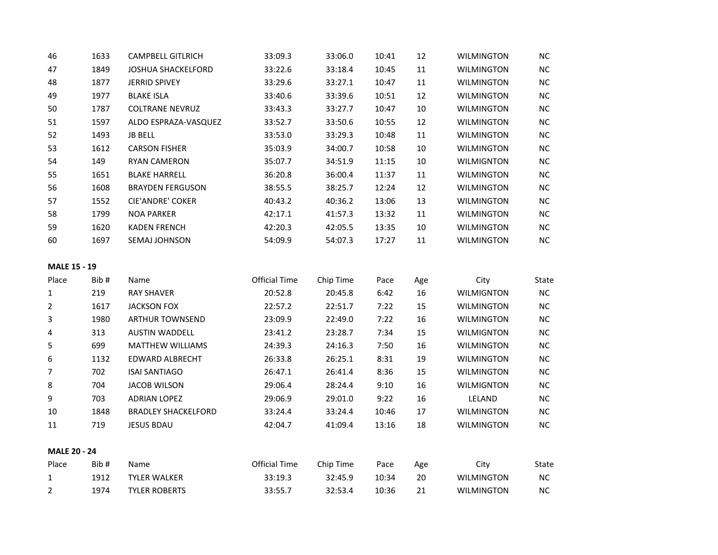| 46                  | 1633 | <b>CAMPBELL GITLRICH</b>   | 33:09.3              | 33:06.0   | 10:41 | 12     | <b>WILMINGTON</b> | $NC$  |
|---------------------|------|----------------------------|----------------------|-----------|-------|--------|-------------------|-------|
| 47                  | 1849 | JOSHUA SHACKELFORD         | 33:22.6              | 33:18.4   | 10:45 | $11\,$ | <b>WILMINGTON</b> | $NC$  |
| 48                  | 1877 | <b>JERRID SPIVEY</b>       | 33:29.6              | 33:27.1   | 10:47 | 11     | <b>WILMINGTON</b> | NC    |
| 49                  | 1977 | <b>BLAKE ISLA</b>          | 33:40.6              | 33:39.6   | 10:51 | 12     | <b>WILMINGTON</b> | $NC$  |
| 50                  | 1787 | <b>COLTRANE NEVRUZ</b>     | 33:43.3              | 33:27.7   | 10:47 | 10     | <b>WILMINGTON</b> | NC    |
| 51                  | 1597 | ALDO ESPRAZA-VASQUEZ       | 33:52.7              | 33:50.6   | 10:55 | 12     | <b>WILMINGTON</b> | $NC$  |
| 52                  | 1493 | <b>JB BELL</b>             | 33:53.0              | 33:29.3   | 10:48 | 11     | <b>WILMINGTON</b> | $NC$  |
| 53                  | 1612 | <b>CARSON FISHER</b>       | 35:03.9              | 34:00.7   | 10:58 | 10     | <b>WILMINGTON</b> | NC    |
| 54                  | 149  | <b>RYAN CAMERON</b>        | 35:07.7              | 34:51.9   | 11:15 | 10     | <b>WILMIGNTON</b> | $NC$  |
| 55                  | 1651 | <b>BLAKE HARRELL</b>       | 36:20.8              | 36:00.4   | 11:37 | 11     | <b>WILMINGTON</b> | NC    |
| 56                  | 1608 | <b>BRAYDEN FERGUSON</b>    | 38:55.5              | 38:25.7   | 12:24 | 12     | <b>WILMINGTON</b> | $NC$  |
| 57                  | 1552 | CIE'ANDRE' COKER           | 40:43.2              | 40:36.2   | 13:06 | 13     | WILMINGTON        | NC    |
| 58                  | 1799 | <b>NOA PARKER</b>          | 42:17.1              | 41:57.3   | 13:32 | 11     | <b>WILMINGTON</b> | $NC$  |
| 59                  | 1620 | <b>KADEN FRENCH</b>        | 42:20.3              | 42:05.5   | 13:35 | 10     | <b>WILMINGTON</b> | $NC$  |
| 60                  | 1697 | SEMAJ JOHNSON              | 54:09.9              | 54:07.3   | 17:27 | 11     | <b>WILMINGTON</b> | $NC$  |
| <b>MALE 15 - 19</b> |      |                            |                      |           |       |        |                   |       |
|                     | Bib# | Name                       | <b>Official Time</b> | Chip Time | Pace  | Age    | City              | State |
| Place               |      |                            |                      |           |       |        |                   |       |
| 1                   | 219  | <b>RAY SHAVER</b>          | 20:52.8              | 20:45.8   | 6:42  | 16     | <b>WILMIGNTON</b> | NC    |
| 2                   | 1617 | <b>JACKSON FOX</b>         | 22:57.2              | 22:51.7   | 7:22  | 15     | <b>WILMINGTON</b> | $NC$  |
| 3                   | 1980 | <b>ARTHUR TOWNSEND</b>     | 23:09.9              | 22:49.0   | 7:22  | 16     | <b>WILMINGTON</b> | NC    |
| 4                   | 313  | <b>AUSTIN WADDELL</b>      | 23:41.2              | 23:28.7   | 7:34  | 15     | <b>WILMIGNTON</b> | $NC$  |
| 5                   | 699  | <b>MATTHEW WILLIAMS</b>    | 24:39.3              | 24:16.3   | 7:50  | 16     | <b>WILMINGTON</b> | NC    |
| 6                   | 1132 | <b>EDWARD ALBRECHT</b>     | 26:33.8              | 26:25.1   | 8:31  | 19     | <b>WILMINGTON</b> | NC    |
| 7                   | 702  | <b>ISAI SANTIAGO</b>       | 26:47.1              | 26:41.4   | 8:36  | 15     | <b>WILMINGTON</b> | $NC$  |
| 8                   | 704  | <b>JACOB WILSON</b>        | 29:06.4              | 28:24.4   | 9:10  | 16     | <b>WILMIGNTON</b> | NC    |
| 9                   | 703  | <b>ADRIAN LOPEZ</b>        | 29:06.9              | 29:01.0   | 9:22  | 16     | LELAND            | $NC$  |
| 10                  | 1848 | <b>BRADLEY SHACKELFORD</b> | 33:24.4              | 33:24.4   | 10:46 | 17     | <b>WILMINGTON</b> | NC    |
| 11                  | 719  | <b>JESUS BDAU</b>          | 42:04.7              | 41:09.4   | 13:16 | 18     | <b>WILMINGTON</b> | $NC$  |
| <b>MALE 20 - 24</b> |      |                            |                      |           |       |        |                   |       |
| Place               | Bib# | Name                       | <b>Official Time</b> | Chip Time | Pace  | Age    | City              | State |
| 1                   | 1912 | <b>TYLER WALKER</b>        | 33:19.3              | 32:45.9   | 10:34 | 20     | <b>WILMINGTON</b> | $NC$  |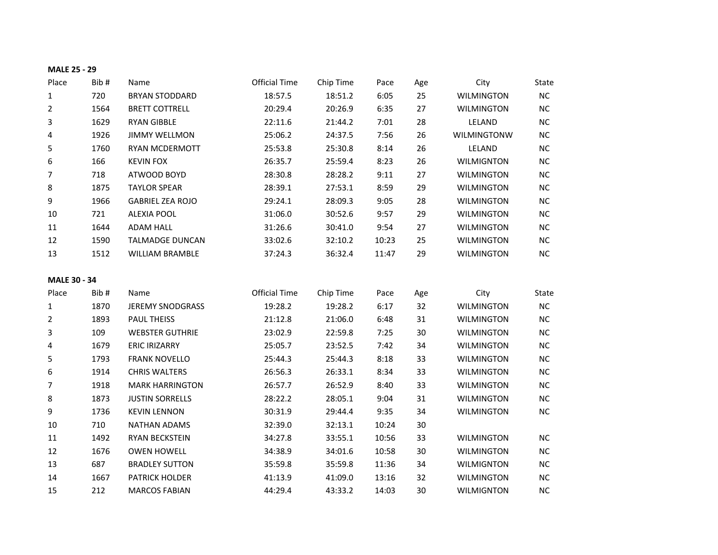|                     | <b>MALE 25 - 29</b> |                         |                      |           |       |     |                   |           |
|---------------------|---------------------|-------------------------|----------------------|-----------|-------|-----|-------------------|-----------|
| Place               | Bib#                | Name                    | <b>Official Time</b> | Chip Time | Pace  | Age | City              | State     |
| 1                   | 720                 | <b>BRYAN STODDARD</b>   | 18:57.5              | 18:51.2   | 6:05  | 25  | <b>WILMINGTON</b> | NC        |
| $\overline{2}$      | 1564                | <b>BRETT COTTRELL</b>   | 20:29.4              | 20:26.9   | 6:35  | 27  | <b>WILMINGTON</b> | $NC$      |
| 3                   | 1629                | <b>RYAN GIBBLE</b>      | 22:11.6              | 21:44.2   | 7:01  | 28  | LELAND            | NC        |
| 4                   | 1926                | <b>JIMMY WELLMON</b>    | 25:06.2              | 24:37.5   | 7:56  | 26  | WILMINGTONW       | NC        |
| 5                   | 1760                | RYAN MCDERMOTT          | 25:53.8              | 25:30.8   | 8:14  | 26  | LELAND            | <b>NC</b> |
| 6                   | 166                 | <b>KEVIN FOX</b>        | 26:35.7              | 25:59.4   | 8:23  | 26  | <b>WILMIGNTON</b> | NC        |
| 7                   | 718                 | ATWOOD BOYD             | 28:30.8              | 28:28.2   | 9:11  | 27  | <b>WILMINGTON</b> | NC        |
| 8                   | 1875                | <b>TAYLOR SPEAR</b>     | 28:39.1              | 27:53.1   | 8:59  | 29  | <b>WILMINGTON</b> | $NC$      |
| 9                   | 1966                | <b>GABRIEL ZEA ROJO</b> | 29:24.1              | 28:09.3   | 9:05  | 28  | WILMINGTON        | $NC$      |
| 10                  | 721                 | <b>ALEXIA POOL</b>      | 31:06.0              | 30:52.6   | 9:57  | 29  | <b>WILMINGTON</b> | $NC$      |
| 11                  | 1644                | ADAM HALL               | 31:26.6              | 30:41.0   | 9:54  | 27  | <b>WILMINGTON</b> | $NC$      |
| 12                  | 1590                | <b>TALMADGE DUNCAN</b>  | 33:02.6              | 32:10.2   | 10:23 | 25  | <b>WILMINGTON</b> | $NC$      |
| 13                  | 1512                | <b>WILLIAM BRAMBLE</b>  | 37:24.3              | 36:32.4   | 11:47 | 29  | <b>WILMINGTON</b> | $NC$      |
|                     |                     |                         |                      |           |       |     |                   |           |
| <b>MALE 30 - 34</b> |                     |                         |                      |           |       |     |                   |           |
| Place               | Bib#                | Name                    | <b>Official Time</b> | Chip Time | Pace  | Age | City              | State     |
| 1                   | 1870                | <b>JEREMY SNODGRASS</b> | 19:28.2              | 19:28.2   | 6:17  | 32  | <b>WILMINGTON</b> |           |
|                     |                     |                         |                      |           |       |     |                   | NC        |
| $\overline{2}$      | 1893                | PAUL THEISS             | 21:12.8              | 21:06.0   | 6:48  | 31  | <b>WILMINGTON</b> | NC        |
| 3                   | 109                 | <b>WEBSTER GUTHRIE</b>  | 23:02.9              | 22:59.8   | 7:25  | 30  | <b>WILMINGTON</b> | <b>NC</b> |
| 4                   | 1679                | <b>ERIC IRIZARRY</b>    | 25:05.7              | 23:52.5   | 7:42  | 34  | <b>WILMINGTON</b> | $\sf NC$  |
| 5                   | 1793                | <b>FRANK NOVELLO</b>    | 25:44.3              | 25:44.3   | 8:18  | 33  | <b>WILMINGTON</b> | <b>NC</b> |
| 6                   | 1914                | <b>CHRIS WALTERS</b>    | 26:56.3              | 26:33.1   | 8:34  | 33  | <b>WILMINGTON</b> | NC        |
| 7                   | 1918                | <b>MARK HARRINGTON</b>  | 26:57.7              | 26:52.9   | 8:40  | 33  | <b>WILMINGTON</b> | NC        |
| 8                   | 1873                | <b>JUSTIN SORRELLS</b>  | 28:22.2              | 28:05.1   | 9:04  | 31  | <b>WILMINGTON</b> | $NC$      |
| 9                   | 1736                | <b>KEVIN LENNON</b>     | 30:31.9              | 29:44.4   | 9:35  | 34  | <b>WILMINGTON</b> | NC        |
| $10\,$              | 710                 | <b>NATHAN ADAMS</b>     | 32:39.0              | 32:13.1   | 10:24 | 30  |                   |           |
| $11\,$              | 1492                | RYAN BECKSTEIN          | 34:27.8              | 33:55.1   | 10:56 | 33  | <b>WILMINGTON</b> | $NC$      |
| 12                  | 1676                | <b>OWEN HOWELL</b>      | 34:38.9              | 34:01.6   | 10:58 | 30  | <b>WILMINGTON</b> | $NC$      |
| 13                  | 687                 | <b>BRADLEY SUTTON</b>   | 35:59.8              | 35:59.8   | 11:36 | 34  | <b>WILMIGNTON</b> | NC        |
| 14                  | 1667                | PATRICK HOLDER          | 41:13.9              | 41:09.0   | 13:16 | 32  | <b>WILMINGTON</b> | $NC$      |
| 15                  | 212                 | <b>MARCOS FABIAN</b>    | 44:29.4              | 43:33.2   | 14:03 | 30  | <b>WILMIGNTON</b> | NC        |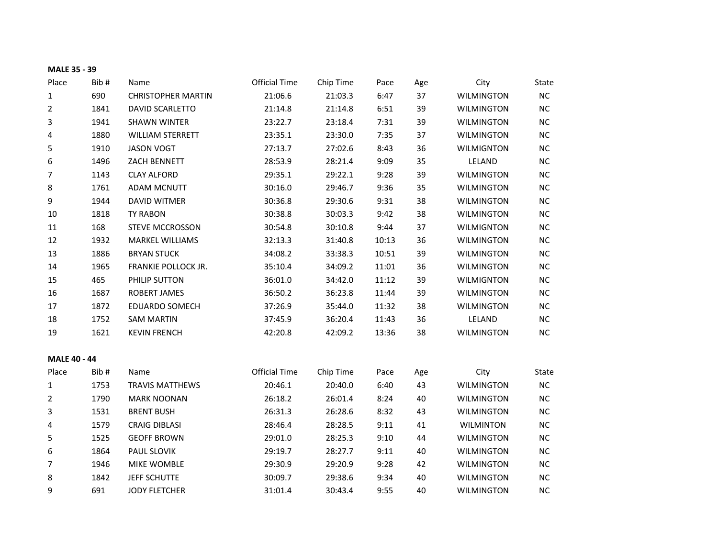| MALE 35 - 39        |      |                           |                      |           |       |     |                   |           |
|---------------------|------|---------------------------|----------------------|-----------|-------|-----|-------------------|-----------|
| Place               | Bib# | Name                      | <b>Official Time</b> | Chip Time | Pace  | Age | City              | State     |
| 1                   | 690  | <b>CHRISTOPHER MARTIN</b> | 21:06.6              | 21:03.3   | 6:47  | 37  | <b>WILMINGTON</b> | NC        |
| 2                   | 1841 | DAVID SCARLETTO           | 21:14.8              | 21:14.8   | 6:51  | 39  | <b>WILMINGTON</b> | NC        |
| 3                   | 1941 | <b>SHAWN WINTER</b>       | 23:22.7              | 23:18.4   | 7:31  | 39  | <b>WILMINGTON</b> | NC.       |
| 4                   | 1880 | <b>WILLIAM STERRETT</b>   | 23:35.1              | 23:30.0   | 7:35  | 37  | <b>WILMINGTON</b> | NC        |
| 5                   | 1910 | <b>JASON VOGT</b>         | 27:13.7              | 27:02.6   | 8:43  | 36  | <b>WILMIGNTON</b> | NC        |
| 6                   | 1496 | ZACH BENNETT              | 28:53.9              | 28:21.4   | 9:09  | 35  | LELAND            | $NC$      |
| 7                   | 1143 | <b>CLAY ALFORD</b>        | 29:35.1              | 29:22.1   | 9:28  | 39  | <b>WILMINGTON</b> | NC        |
| 8                   | 1761 | ADAM MCNUTT               | 30:16.0              | 29:46.7   | 9:36  | 35  | <b>WILMINGTON</b> | $NC$      |
| 9                   | 1944 | <b>DAVID WITMER</b>       | 30:36.8              | 29:30.6   | 9:31  | 38  | <b>WILMINGTON</b> | $NC$      |
| 10                  | 1818 | TY RABON                  | 30:38.8              | 30:03.3   | 9:42  | 38  | <b>WILMINGTON</b> | <b>NC</b> |
| 11                  | 168  | <b>STEVE MCCROSSON</b>    | 30:54.8              | 30:10.8   | 9:44  | 37  | <b>WILMIGNTON</b> | $NC$      |
| 12                  | 1932 | <b>MARKEL WILLIAMS</b>    | 32:13.3              | 31:40.8   | 10:13 | 36  | <b>WILMINGTON</b> | NC        |
| 13                  | 1886 | <b>BRYAN STUCK</b>        | 34:08.2              | 33:38.3   | 10:51 | 39  | <b>WILMINGTON</b> | NC        |
| $14\,$              | 1965 | FRANKIE POLLOCK JR.       | 35:10.4              | 34:09.2   | 11:01 | 36  | <b>WILMINGTON</b> | NC        |
| 15                  | 465  | PHILIP SUTTON             | 36:01.0              | 34:42.0   | 11:12 | 39  | <b>WILMIGNTON</b> | $NC$      |
| 16                  | 1687 | <b>ROBERT JAMES</b>       | 36:50.2              | 36:23.8   | 11:44 | 39  | <b>WILMINGTON</b> | <b>NC</b> |
| 17                  | 1872 | <b>EDUARDO SOMECH</b>     | 37:26.9              | 35:44.0   | 11:32 | 38  | <b>WILMINGTON</b> | <b>NC</b> |
| 18                  | 1752 | <b>SAM MARTIN</b>         | 37:45.9              | 36:20.4   | 11:43 | 36  | LELAND            | $NC$      |
| 19                  | 1621 | <b>KEVIN FRENCH</b>       | 42:20.8              | 42:09.2   | 13:36 | 38  | <b>WILMINGTON</b> | NC        |
| <b>MALE 40 - 44</b> |      |                           |                      |           |       |     |                   |           |
| Place               | Bib# | Name                      | <b>Official Time</b> | Chip Time | Pace  | Age | City              | State     |
| 1                   | 1753 | <b>TRAVIS MATTHEWS</b>    | 20:46.1              | 20:40.0   | 6:40  | 43  | <b>WILMINGTON</b> | $NC$      |
| 2                   | 1790 | <b>MARK NOONAN</b>        | 26:18.2              | 26:01.4   | 8:24  | 40  | <b>WILMINGTON</b> | <b>NC</b> |
| 3                   | 1531 | <b>BRENT BUSH</b>         | 26:31.3              | 26:28.6   | 8:32  | 43  | <b>WILMINGTON</b> | NC        |
| 4                   | 1579 | <b>CRAIG DIBLASI</b>      | 28:46.4              | 28:28.5   | 9:11  | 41  | <b>WILMINTON</b>  | NC        |
| 5                   | 1525 | <b>GEOFF BROWN</b>        | 29:01.0              | 28:25.3   | 9:10  | 44  | <b>WILMINGTON</b> | $NC$      |
| 6                   | 1864 | PAUL SLOVIK               | 29:19.7              | 28:27.7   | 9:11  | 40  | <b>WILMINGTON</b> | NC        |
| 7                   | 1946 | MIKE WOMBLE               | 29:30.9              | 29:20.9   | 9:28  | 42  | <b>WILMINGTON</b> | <b>NC</b> |
| 8                   | 1842 | JEFF SCHUTTE              | 30:09.7              | 29:38.6   | 9:34  | 40  | <b>WILMINGTON</b> | NC        |
| 9                   | 691  | <b>JODY FLETCHER</b>      | 31:01.4              | 30:43.4   | 9:55  | 40  | <b>WILMINGTON</b> | NC        |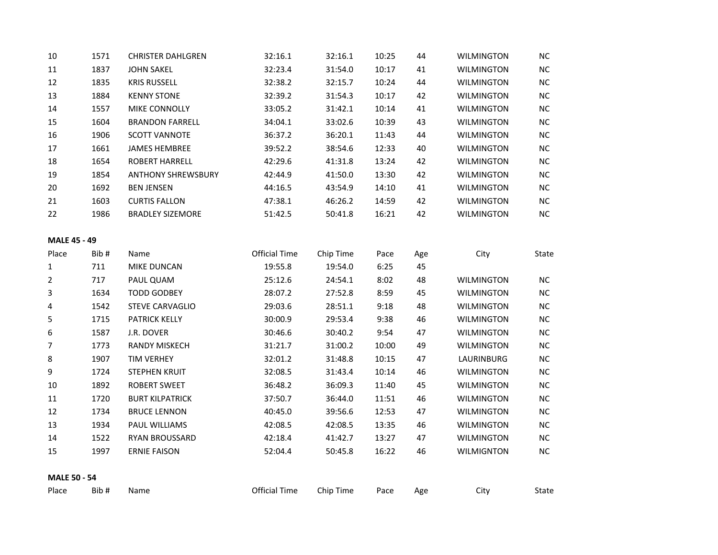| 10                  | 1571 | <b>CHRISTER DAHLGREN</b>  | 32:16.1              | 32:16.1   | 10:25 | 44  | <b>WILMINGTON</b> | <b>NC</b>  |
|---------------------|------|---------------------------|----------------------|-----------|-------|-----|-------------------|------------|
| $11\,$              | 1837 | <b>JOHN SAKEL</b>         | 32:23.4              | 31:54.0   | 10:17 | 41  | <b>WILMINGTON</b> | $NC$       |
| 12                  | 1835 | <b>KRIS RUSSELL</b>       | 32:38.2              | 32:15.7   | 10:24 | 44  | <b>WILMINGTON</b> | NC         |
| 13                  | 1884 | <b>KENNY STONE</b>        | 32:39.2              | 31:54.3   | 10:17 | 42  | <b>WILMINGTON</b> | NC         |
| 14                  | 1557 | MIKE CONNOLLY             | 33:05.2              | 31:42.1   | 10:14 | 41  | <b>WILMINGTON</b> | NC         |
| 15                  | 1604 | <b>BRANDON FARRELL</b>    | 34:04.1              | 33:02.6   | 10:39 | 43  | <b>WILMINGTON</b> | ${\sf NC}$ |
| 16                  | 1906 | <b>SCOTT VANNOTE</b>      | 36:37.2              | 36:20.1   | 11:43 | 44  | <b>WILMINGTON</b> | $\sf NC$   |
| 17                  | 1661 | <b>JAMES HEMBREE</b>      | 39:52.2              | 38:54.6   | 12:33 | 40  | <b>WILMINGTON</b> | NC         |
| 18                  | 1654 | <b>ROBERT HARRELL</b>     | 42:29.6              | 41:31.8   | 13:24 | 42  | <b>WILMINGTON</b> | $NC$       |
| 19                  | 1854 | <b>ANTHONY SHREWSBURY</b> | 42:44.9              | 41:50.0   | 13:30 | 42  | <b>WILMINGTON</b> | $\sf NC$   |
| 20                  | 1692 | <b>BEN JENSEN</b>         | 44:16.5              | 43:54.9   | 14:10 | 41  | <b>WILMINGTON</b> | NC         |
| 21                  | 1603 | <b>CURTIS FALLON</b>      | 47:38.1              | 46:26.2   | 14:59 | 42  | <b>WILMINGTON</b> | NC         |
| 22                  | 1986 | <b>BRADLEY SIZEMORE</b>   | 51:42.5              | 50:41.8   | 16:21 | 42  | <b>WILMINGTON</b> | NC         |
| <b>MALE 45 - 49</b> |      |                           |                      |           |       |     |                   |            |
| Place               | Bib# | Name                      | <b>Official Time</b> | Chip Time | Pace  | Age | City              | State      |
| $\mathbf{1}$        | 711  | MIKE DUNCAN               | 19:55.8              | 19:54.0   | 6:25  | 45  |                   |            |
| $\overline{2}$      | 717  | PAUL QUAM                 | 25:12.6              | 24:54.1   | 8:02  | 48  | <b>WILMINGTON</b> | <b>NC</b>  |
| 3                   | 1634 | <b>TODD GODBEY</b>        | 28:07.2              | 27:52.8   | 8:59  | 45  | <b>WILMINGTON</b> | NC         |
| 4                   | 1542 | <b>STEVE CARVAGLIO</b>    | 29:03.6              | 28:51.1   | 9:18  | 48  | <b>WILMINGTON</b> | $NC$       |
| 5                   | 1715 | <b>PATRICK KELLY</b>      | 30:00.9              | 29:53.4   | 9:38  | 46  | <b>WILMINGTON</b> | $NC$       |
| 6                   | 1587 | J.R. DOVER                | 30:46.6              | 30:40.2   | 9:54  | 47  | <b>WILMINGTON</b> | ${\sf NC}$ |
| $\overline{7}$      | 1773 | <b>RANDY MISKECH</b>      | 31:21.7              | 31:00.2   | 10:00 | 49  | WILMINGTON        | ${\sf NC}$ |
| 8                   | 1907 | <b>TIM VERHEY</b>         | 32:01.2              | 31:48.8   | 10:15 | 47  | LAURINBURG        | NC         |
| 9                   | 1724 | <b>STEPHEN KRUIT</b>      | 32:08.5              | 31:43.4   | 10:14 | 46  | <b>WILMINGTON</b> | $NC$       |
| $10\,$              | 1892 | <b>ROBERT SWEET</b>       | 36:48.2              | 36:09.3   | 11:40 | 45  | <b>WILMINGTON</b> | NC         |
| $11\,$              | 1720 | <b>BURT KILPATRICK</b>    | 37:50.7              | 36:44.0   | 11:51 | 46  | WILMINGTON        | NC         |
| 12                  | 1734 | <b>BRUCE LENNON</b>       | 40:45.0              | 39:56.6   | 12:53 | 47  | <b>WILMINGTON</b> | $NC$       |
| 13                  | 1934 | PAUL WILLIAMS             | 42:08.5              | 42:08.5   | 13:35 | 46  | <b>WILMINGTON</b> | NC         |
| 14                  | 1522 | RYAN BROUSSARD            | 42:18.4              | 41:42.7   | 13:27 | 47  | <b>WILMINGTON</b> | NC         |
| 15                  | 1997 | <b>ERNIE FAISON</b>       | 52:04.4              | 50:45.8   | 16:22 | 46  | <b>WILMIGNTON</b> | NC         |
| <b>MALE 50 - 54</b> |      |                           |                      |           |       |     |                   |            |
| Place               | Bib# | Name                      | <b>Official Time</b> | Chip Time | Pace  | Age | City              | State      |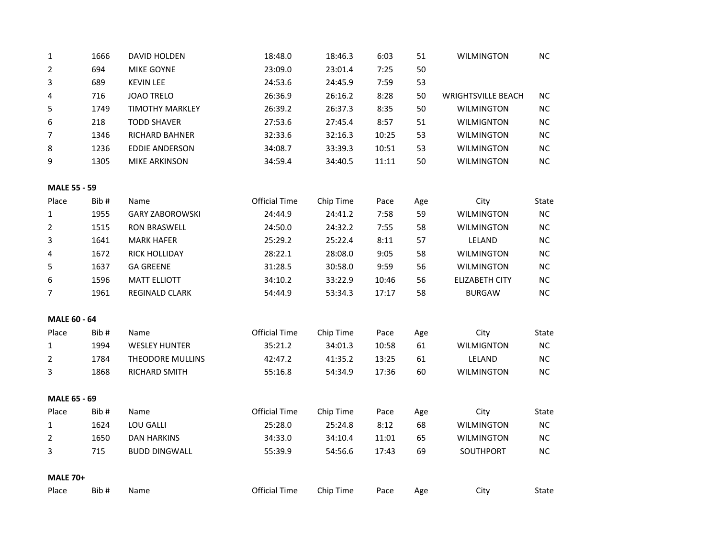| 1                   | 1666 | DAVID HOLDEN            | 18:48.0              | 18:46.3   | 6:03  | 51  | <b>WILMINGTON</b>         | NC         |  |
|---------------------|------|-------------------------|----------------------|-----------|-------|-----|---------------------------|------------|--|
| 2                   | 694  | MIKE GOYNE              | 23:09.0              | 23:01.4   | 7:25  | 50  |                           |            |  |
| 3                   | 689  | <b>KEVIN LEE</b>        | 24:53.6              | 24:45.9   | 7:59  | 53  |                           |            |  |
| 4                   | 716  | <b>JOAO TRELO</b>       | 26:36.9              | 26:16.2   | 8:28  | 50  | <b>WRIGHTSVILLE BEACH</b> | NC         |  |
| 5                   | 1749 | <b>TIMOTHY MARKLEY</b>  | 26:39.2              | 26:37.3   | 8:35  | 50  | <b>WILMINGTON</b>         | $NC$       |  |
| 6                   | 218  | <b>TODD SHAVER</b>      | 27:53.6              | 27:45.4   | 8:57  | 51  | <b>WILMIGNTON</b>         | $NC$       |  |
| 7                   | 1346 | RICHARD BAHNER          | 32:33.6              | 32:16.3   | 10:25 | 53  | <b>WILMINGTON</b>         | $NC$       |  |
| 8                   | 1236 | <b>EDDIE ANDERSON</b>   | 34:08.7              | 33:39.3   | 10:51 | 53  | <b>WILMINGTON</b>         | $NC$       |  |
| 9                   | 1305 | <b>MIKE ARKINSON</b>    | 34:59.4              | 34:40.5   | 11:11 | 50  | <b>WILMINGTON</b>         | $NC$       |  |
| <b>MALE 55 - 59</b> |      |                         |                      |           |       |     |                           |            |  |
| Place               | Bib# | Name                    | Official Time        | Chip Time | Pace  | Age | City                      | State      |  |
| $\mathbf{1}$        | 1955 | <b>GARY ZABOROWSKI</b>  | 24:44.9              | 24:41.2   | 7:58  | 59  | <b>WILMINGTON</b>         | $\sf NC$   |  |
| $\overline{2}$      | 1515 | <b>RON BRASWELL</b>     | 24:50.0              | 24:32.2   | 7:55  | 58  | <b>WILMINGTON</b>         | $NC$       |  |
| 3                   | 1641 | <b>MARK HAFER</b>       | 25:29.2              | 25:22.4   | 8:11  | 57  | LELAND                    | $NC$       |  |
| 4                   | 1672 | RICK HOLLIDAY           | 28:22.1              | 28:08.0   | 9:05  | 58  | <b>WILMINGTON</b>         | $NC$       |  |
| 5                   | 1637 | <b>GA GREENE</b>        | 31:28.5              | 30:58.0   | 9:59  | 56  | <b>WILMINGTON</b>         | $NC$       |  |
| 6                   | 1596 | <b>MATT ELLIOTT</b>     | 34:10.2              | 33:22.9   | 10:46 | 56  | <b>ELIZABETH CITY</b>     | ${\sf NC}$ |  |
| $\overline{7}$      | 1961 | REGINALD CLARK          | 54:44.9              | 53:34.3   | 17:17 | 58  | <b>BURGAW</b>             | $NC$       |  |
|                     |      |                         |                      |           |       |     |                           |            |  |
| <b>MALE 60 - 64</b> |      |                         |                      |           |       |     |                           |            |  |
| Place               | Bib# | Name                    | Official Time        | Chip Time | Pace  | Age | City                      | State      |  |
| $\mathbf{1}$        | 1994 | <b>WESLEY HUNTER</b>    | 35:21.2              | 34:01.3   | 10:58 | 61  | <b>WILMIGNTON</b>         | ${\sf NC}$ |  |
| $\overline{2}$      | 1784 | <b>THEODORE MULLINS</b> | 42:47.2              | 41:35.2   | 13:25 | 61  | LELAND                    | $NC$       |  |
| 3                   | 1868 | RICHARD SMITH           | 55:16.8              | 54:34.9   | 17:36 | 60  | <b>WILMINGTON</b>         | <b>NC</b>  |  |
| MALE 65 - 69        |      |                         |                      |           |       |     |                           |            |  |
| Place               | Bib# | Name                    | Official Time        | Chip Time | Pace  | Age | City                      | State      |  |
| $\mathbf{1}$        | 1624 | LOU GALLI               | 25:28.0              | 25:24.8   | 8:12  | 68  | <b>WILMINGTON</b>         | NC         |  |
| $\overline{2}$      | 1650 | <b>DAN HARKINS</b>      | 34:33.0              | 34:10.4   | 11:01 | 65  | <b>WILMINGTON</b>         | $NC$       |  |
| 3                   | 715  | <b>BUDD DINGWALL</b>    | 55:39.9              | 54:56.6   | 17:43 | 69  | SOUTHPORT                 | ${\sf NC}$ |  |
|                     |      |                         |                      |           |       |     |                           |            |  |
| <b>MALE 70+</b>     |      |                         |                      |           |       |     |                           |            |  |
| Place               | Bib# | Name                    | <b>Official Time</b> | Chip Time | Pace  | Age | City                      | State      |  |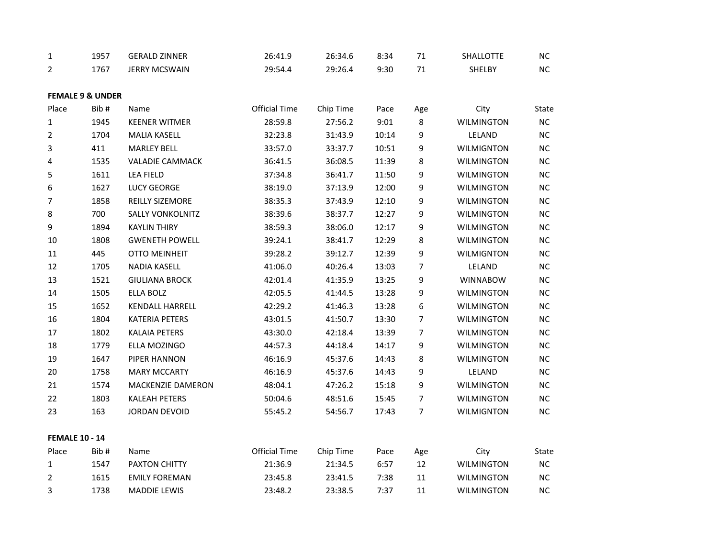| $\mathbf{1}$          | 1957                        | <b>GERALD ZINNER</b>    | 26:41.9              | 26:34.6   | 8:34  | 71             | SHALLOTTE         | <b>NC</b> |
|-----------------------|-----------------------------|-------------------------|----------------------|-----------|-------|----------------|-------------------|-----------|
| 2                     | 1767                        | <b>JERRY MCSWAIN</b>    | 29:54.4              | 29:26.4   | 9:30  | 71             | SHELBY            | NC        |
|                       |                             |                         |                      |           |       |                |                   |           |
|                       | <b>FEMALE 9 &amp; UNDER</b> |                         |                      |           |       |                |                   |           |
| Place                 | Bib#                        | Name                    | <b>Official Time</b> | Chip Time | Pace  | Age            | City              | State     |
| 1                     | 1945                        | <b>KEENER WITMER</b>    | 28:59.8              | 27:56.2   | 9:01  | 8              | <b>WILMINGTON</b> | NC        |
| $\overline{2}$        | 1704                        | <b>MALIA KASELL</b>     | 32:23.8              | 31:43.9   | 10:14 | 9              | LELAND            | NC        |
| 3                     | 411                         | <b>MARLEY BELL</b>      | 33:57.0              | 33:37.7   | 10:51 | 9              | <b>WILMIGNTON</b> | $NC$      |
| 4                     | 1535                        | <b>VALADIE CAMMACK</b>  | 36:41.5              | 36:08.5   | 11:39 | 8              | <b>WILMINGTON</b> | NC        |
| 5                     | 1611                        | <b>LEA FIELD</b>        | 37:34.8              | 36:41.7   | 11:50 | 9              | <b>WILMINGTON</b> | $NC$      |
| 6                     | 1627                        | <b>LUCY GEORGE</b>      | 38:19.0              | 37:13.9   | 12:00 | 9              | <b>WILMINGTON</b> | NC        |
| 7                     | 1858                        | REILLY SIZEMORE         | 38:35.3              | 37:43.9   | 12:10 | 9              | <b>WILMINGTON</b> | NC        |
| 8                     | 700                         | <b>SALLY VONKOLNITZ</b> | 38:39.6              | 38:37.7   | 12:27 | 9              | <b>WILMINGTON</b> | NC        |
| 9                     | 1894                        | <b>KAYLIN THIRY</b>     | 38:59.3              | 38:06.0   | 12:17 | 9              | <b>WILMINGTON</b> | $NC$      |
| 10                    | 1808                        | <b>GWENETH POWELL</b>   | 39:24.1              | 38:41.7   | 12:29 | 8              | <b>WILMINGTON</b> | NC        |
| 11                    | 445                         | <b>OTTO MEINHEIT</b>    | 39:28.2              | 39:12.7   | 12:39 | 9              | <b>WILMIGNTON</b> | NC        |
| 12                    | 1705                        | <b>NADIA KASELL</b>     | 41:06.0              | 40:26.4   | 13:03 | 7              | LELAND            | NC        |
| 13                    | 1521                        | <b>GIULIANA BROCK</b>   | 42:01.4              | 41:35.9   | 13:25 | 9              | <b>WINNABOW</b>   | $NC$      |
| 14                    | 1505                        | ELLA BOLZ               | 42:05.5              | 41:44.5   | 13:28 | 9              | <b>WILMINGTON</b> | $NC$      |
| 15                    | 1652                        | <b>KENDALL HARRELL</b>  | 42:29.2              | 41:46.3   | 13:28 | 6              | <b>WILMINGTON</b> | NC        |
| 16                    | 1804                        | <b>KATERIA PETERS</b>   | 43:01.5              | 41:50.7   | 13:30 | $\overline{7}$ | <b>WILMINGTON</b> | <b>NC</b> |
| 17                    | 1802                        | <b>KALAIA PETERS</b>    | 43:30.0              | 42:18.4   | 13:39 | 7              | <b>WILMINGTON</b> | $NC$      |
| 18                    | 1779                        | ELLA MOZINGO            | 44:57.3              | 44:18.4   | 14:17 | 9              | <b>WILMINGTON</b> | $NC$      |
| 19                    | 1647                        | PIPER HANNON            | 46:16.9              | 45:37.6   | 14:43 | 8              | <b>WILMINGTON</b> | NC        |
| 20                    | 1758                        | <b>MARY MCCARTY</b>     | 46:16.9              | 45:37.6   | 14:43 | 9              | LELAND            | $NC$      |
| 21                    | 1574                        | MACKENZIE DAMERON       | 48:04.1              | 47:26.2   | 15:18 | 9              | <b>WILMINGTON</b> | $NC$      |
| 22                    | 1803                        | <b>KALEAH PETERS</b>    | 50:04.6              | 48:51.6   | 15:45 | $\overline{7}$ | <b>WILMINGTON</b> | NC        |
| 23                    | 163                         | <b>JORDAN DEVOID</b>    | 55:45.2              | 54:56.7   | 17:43 | $\overline{7}$ | <b>WILMIGNTON</b> | <b>NC</b> |
| <b>FEMALE 10 - 14</b> |                             |                         |                      |           |       |                |                   |           |
| Place                 | Bib#                        | Name                    | <b>Official Time</b> | Chip Time | Pace  | Age            | City              | State     |
| 1                     | 1547                        | PAXTON CHITTY           | 21:36.9              | 21:34.5   | 6:57  | 12             | <b>WILMINGTON</b> | $\sf NC$  |
| 2                     | 1615                        | <b>EMILY FOREMAN</b>    | 23:45.8              | 23:41.5   | 7:38  | 11             | <b>WILMINGTON</b> | <b>NC</b> |
| 3                     | 1738                        | <b>MADDIE LEWIS</b>     | 23:48.2              | 23:38.5   | 7:37  | 11             | <b>WILMINGTON</b> | NC        |
|                       |                             |                         |                      |           |       |                |                   |           |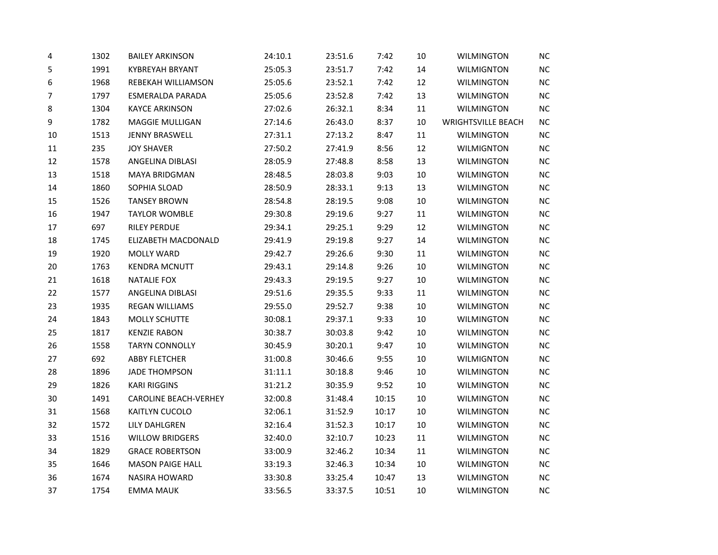| 4  | 1302 | <b>BAILEY ARKINSON</b>       | 24:10.1 | 23:51.6 | 7:42  | 10     | <b>WILMINGTON</b>         | NC        |
|----|------|------------------------------|---------|---------|-------|--------|---------------------------|-----------|
| 5  | 1991 | <b>KYBREYAH BRYANT</b>       | 25:05.3 | 23:51.7 | 7:42  | 14     | <b>WILMIGNTON</b>         | $NC$      |
| 6  | 1968 | REBEKAH WILLIAMSON           | 25:05.6 | 23:52.1 | 7:42  | 12     | <b>WILMINGTON</b>         | $NC$      |
| 7  | 1797 | <b>ESMERALDA PARADA</b>      | 25:05.6 | 23:52.8 | 7:42  | 13     | <b>WILMINGTON</b>         | NC        |
| 8  | 1304 | <b>KAYCE ARKINSON</b>        | 27:02.6 | 26:32.1 | 8:34  | 11     | <b>WILMINGTON</b>         | NC        |
| 9  | 1782 | MAGGIE MULLIGAN              | 27:14.6 | 26:43.0 | 8:37  | 10     | <b>WRIGHTSVILLE BEACH</b> | $NC$      |
| 10 | 1513 | <b>JENNY BRASWELL</b>        | 27:31.1 | 27:13.2 | 8:47  | 11     | <b>WILMINGTON</b>         | NC        |
| 11 | 235  | <b>JOY SHAVER</b>            | 27:50.2 | 27:41.9 | 8:56  | 12     | <b>WILMIGNTON</b>         | NC        |
| 12 | 1578 | ANGELINA DIBLASI             | 28:05.9 | 27:48.8 | 8:58  | 13     | <b>WILMINGTON</b>         | $NC$      |
| 13 | 1518 | <b>MAYA BRIDGMAN</b>         | 28:48.5 | 28:03.8 | 9:03  | $10\,$ | <b>WILMINGTON</b>         | $NC$      |
| 14 | 1860 | SOPHIA SLOAD                 | 28:50.9 | 28:33.1 | 9:13  | 13     | <b>WILMINGTON</b>         | NC        |
| 15 | 1526 | <b>TANSEY BROWN</b>          | 28:54.8 | 28:19.5 | 9:08  | 10     | <b>WILMINGTON</b>         | $NC$      |
| 16 | 1947 | <b>TAYLOR WOMBLE</b>         | 29:30.8 | 29:19.6 | 9:27  | 11     | <b>WILMINGTON</b>         | NC        |
| 17 | 697  | <b>RILEY PERDUE</b>          | 29:34.1 | 29:25.1 | 9:29  | 12     | <b>WILMINGTON</b>         | NC        |
| 18 | 1745 | ELIZABETH MACDONALD          | 29:41.9 | 29:19.8 | 9:27  | 14     | <b>WILMINGTON</b>         | $NC$      |
| 19 | 1920 | <b>MOLLY WARD</b>            | 29:42.7 | 29:26.6 | 9:30  | $11\,$ | <b>WILMINGTON</b>         | $NC$      |
| 20 | 1763 | <b>KENDRA MCNUTT</b>         | 29:43.1 | 29:14.8 | 9:26  | 10     | <b>WILMINGTON</b>         | NC        |
| 21 | 1618 | <b>NATALIE FOX</b>           | 29:43.3 | 29:19.5 | 9:27  | 10     | <b>WILMINGTON</b>         | $NC$      |
| 22 | 1577 | ANGELINA DIBLASI             | 29:51.6 | 29:35.5 | 9:33  | $11\,$ | <b>WILMINGTON</b>         | NC        |
| 23 | 1935 | <b>REGAN WILLIAMS</b>        | 29:55.0 | 29:52.7 | 9:38  | 10     | <b>WILMINGTON</b>         | <b>NC</b> |
| 24 | 1843 | MOLLY SCHUTTE                | 30:08.1 | 29:37.1 | 9:33  | 10     | <b>WILMINGTON</b>         | $NC$      |
| 25 | 1817 | <b>KENZIE RABON</b>          | 30:38.7 | 30:03.8 | 9:42  | 10     | <b>WILMINGTON</b>         | NC        |
| 26 | 1558 | <b>TARYN CONNOLLY</b>        | 30:45.9 | 30:20.1 | 9:47  | 10     | <b>WILMINGTON</b>         | NC        |
| 27 | 692  | <b>ABBY FLETCHER</b>         | 31:00.8 | 30:46.6 | 9:55  | 10     | <b>WILMIGNTON</b>         | $NC$      |
| 28 | 1896 | <b>JADE THOMPSON</b>         | 31:11.1 | 30:18.8 | 9:46  | $10\,$ | <b>WILMINGTON</b>         | NC        |
| 29 | 1826 | <b>KARI RIGGINS</b>          | 31:21.2 | 30:35.9 | 9:52  | 10     | <b>WILMINGTON</b>         | NC        |
| 30 | 1491 | <b>CAROLINE BEACH-VERHEY</b> | 32:00.8 | 31:48.4 | 10:15 | 10     | <b>WILMINGTON</b>         | $NC$      |
| 31 | 1568 | KAITLYN CUCOLO               | 32:06.1 | 31:52.9 | 10:17 | 10     | <b>WILMINGTON</b>         | NC        |
| 32 | 1572 | LILY DAHLGREN                | 32:16.4 | 31:52.3 | 10:17 | 10     | <b>WILMINGTON</b>         | <b>NC</b> |
| 33 | 1516 | <b>WILLOW BRIDGERS</b>       | 32:40.0 | 32:10.7 | 10:23 | 11     | <b>WILMINGTON</b>         | $NC$      |
| 34 | 1829 | <b>GRACE ROBERTSON</b>       | 33:00.9 | 32:46.2 | 10:34 | $11\,$ | <b>WILMINGTON</b>         | NC        |
| 35 | 1646 | <b>MASON PAIGE HALL</b>      | 33:19.3 | 32:46.3 | 10:34 | 10     | <b>WILMINGTON</b>         | <b>NC</b> |
| 36 | 1674 | <b>NASIRA HOWARD</b>         | 33:30.8 | 33:25.4 | 10:47 | 13     | <b>WILMINGTON</b>         | $NC$      |
| 37 | 1754 | <b>EMMA MAUK</b>             | 33:56.5 | 33:37.5 | 10:51 | 10     | <b>WILMINGTON</b>         | NC        |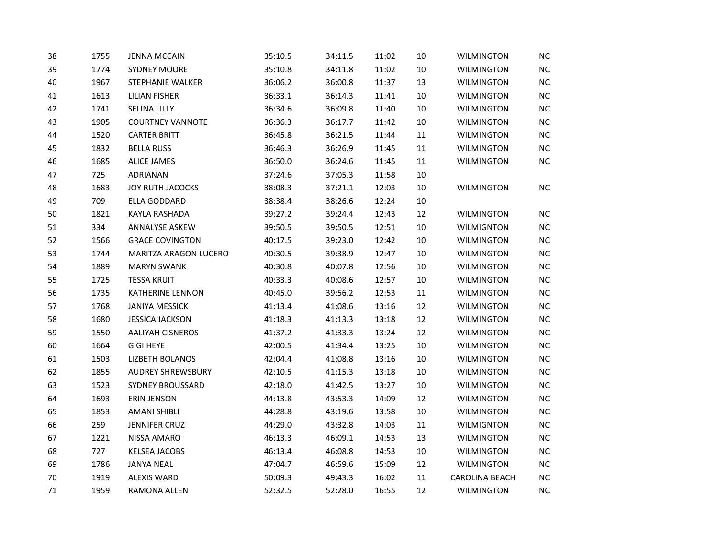| 38 | 1755 | <b>JENNA MCCAIN</b>      | 35:10.5 | 34:11.5 | 11:02 | 10     | <b>WILMINGTON</b>     | NC        |
|----|------|--------------------------|---------|---------|-------|--------|-----------------------|-----------|
| 39 | 1774 | <b>SYDNEY MOORE</b>      | 35:10.8 | 34:11.8 | 11:02 | 10     | <b>WILMINGTON</b>     | NC        |
| 40 | 1967 | <b>STEPHANIE WALKER</b>  | 36:06.2 | 36:00.8 | 11:37 | 13     | <b>WILMINGTON</b>     | NC        |
| 41 | 1613 | <b>LILIAN FISHER</b>     | 36:33.1 | 36:14.3 | 11:41 | 10     | <b>WILMINGTON</b>     | NC        |
| 42 | 1741 | SELINA LILLY             | 36:34.6 | 36:09.8 | 11:40 | 10     | <b>WILMINGTON</b>     | <b>NC</b> |
| 43 | 1905 | <b>COURTNEY VANNOTE</b>  | 36:36.3 | 36:17.7 | 11:42 | 10     | <b>WILMINGTON</b>     | <b>NC</b> |
| 44 | 1520 | <b>CARTER BRITT</b>      | 36:45.8 | 36:21.5 | 11:44 | 11     | <b>WILMINGTON</b>     | <b>NC</b> |
| 45 | 1832 | <b>BELLA RUSS</b>        | 36:46.3 | 36:26.9 | 11:45 | 11     | <b>WILMINGTON</b>     | NC        |
| 46 | 1685 | <b>ALICE JAMES</b>       | 36:50.0 | 36:24.6 | 11:45 | 11     | <b>WILMINGTON</b>     | <b>NC</b> |
| 47 | 725  | ADRIANAN                 | 37:24.6 | 37:05.3 | 11:58 | 10     |                       |           |
| 48 | 1683 | JOY RUTH JACOCKS         | 38:08.3 | 37:21.1 | 12:03 | 10     | <b>WILMINGTON</b>     | NC        |
| 49 | 709  | ELLA GODDARD             | 38:38.4 | 38:26.6 | 12:24 | 10     |                       |           |
| 50 | 1821 | KAYLA RASHADA            | 39:27.2 | 39:24.4 | 12:43 | 12     | WILMINGTON            | NС        |
| 51 | 334  | ANNALYSE ASKEW           | 39:50.5 | 39:50.5 | 12:51 | 10     | <b>WILMIGNTON</b>     | NC        |
| 52 | 1566 | <b>GRACE COVINGTON</b>   | 40:17.5 | 39:23.0 | 12:42 | 10     | <b>WILMINGTON</b>     | <b>NC</b> |
| 53 | 1744 | MARITZA ARAGON LUCERO    | 40:30.5 | 39:38.9 | 12:47 | 10     | WILMINGTON            | <b>NC</b> |
| 54 | 1889 | <b>MARYN SWANK</b>       | 40:30.8 | 40:07.8 | 12:56 | 10     | <b>WILMINGTON</b>     | NC        |
| 55 | 1725 | <b>TESSA KRUIT</b>       | 40:33.3 | 40:08.6 | 12:57 | 10     | <b>WILMINGTON</b>     | NC        |
| 56 | 1735 | KATHERINE LENNON         | 40:45.0 | 39:56.2 | 12:53 | 11     | <b>WILMINGTON</b>     | <b>NC</b> |
| 57 | 1768 | <b>JANIYA MESSICK</b>    | 41:13.4 | 41:08.6 | 13:16 | 12     | <b>WILMINGTON</b>     | <b>NC</b> |
| 58 | 1680 | <b>JESSICA JACKSON</b>   | 41:18.3 | 41:13.3 | 13:18 | 12     | <b>WILMINGTON</b>     | <b>NC</b> |
| 59 | 1550 | <b>AALIYAH CISNEROS</b>  | 41:37.2 | 41:33.3 | 13:24 | 12     | <b>WILMINGTON</b>     | NC        |
| 60 | 1664 | <b>GIGI HEYE</b>         | 42:00.5 | 41:34.4 | 13:25 | $10\,$ | <b>WILMINGTON</b>     | NC        |
| 61 | 1503 | <b>LIZBETH BOLANOS</b>   | 42:04.4 | 41:08.8 | 13:16 | 10     | <b>WILMINGTON</b>     | NC        |
| 62 | 1855 | <b>AUDREY SHREWSBURY</b> | 42:10.5 | 41:15.3 | 13:18 | 10     | <b>WILMINGTON</b>     | <b>NC</b> |
| 63 | 1523 | <b>SYDNEY BROUSSARD</b>  | 42:18.0 | 41:42.5 | 13:27 | 10     | <b>WILMINGTON</b>     | <b>NC</b> |
| 64 | 1693 | <b>ERIN JENSON</b>       | 44:13.8 | 43:53.3 | 14:09 | 12     | WILMINGTON            | NC        |
| 65 | 1853 | <b>AMANI SHIBLI</b>      | 44:28.8 | 43:19.6 | 13:58 | 10     | <b>WILMINGTON</b>     | NC        |
| 66 | 259  | <b>JENNIFER CRUZ</b>     | 44:29.0 | 43:32.8 | 14:03 | $11\,$ | <b>WILMIGNTON</b>     | <b>NC</b> |
| 67 | 1221 | NISSA AMARO              | 46:13.3 | 46:09.1 | 14:53 | 13     | <b>WILMINGTON</b>     | NC        |
| 68 | 727  | <b>KELSEA JACOBS</b>     | 46:13.4 | 46:08.8 | 14:53 | 10     | <b>WILMINGTON</b>     | <b>NC</b> |
| 69 | 1786 | JANYA NEAL               | 47:04.7 | 46:59.6 | 15:09 | 12     | <b>WILMINGTON</b>     | <b>NC</b> |
| 70 | 1919 | <b>ALEXIS WARD</b>       | 50:09.3 | 49:43.3 | 16:02 | 11     | <b>CAROLINA BEACH</b> | NC        |
| 71 | 1959 | RAMONA ALLEN             | 52:32.5 | 52:28.0 | 16:55 | 12     | <b>WILMINGTON</b>     | <b>NC</b> |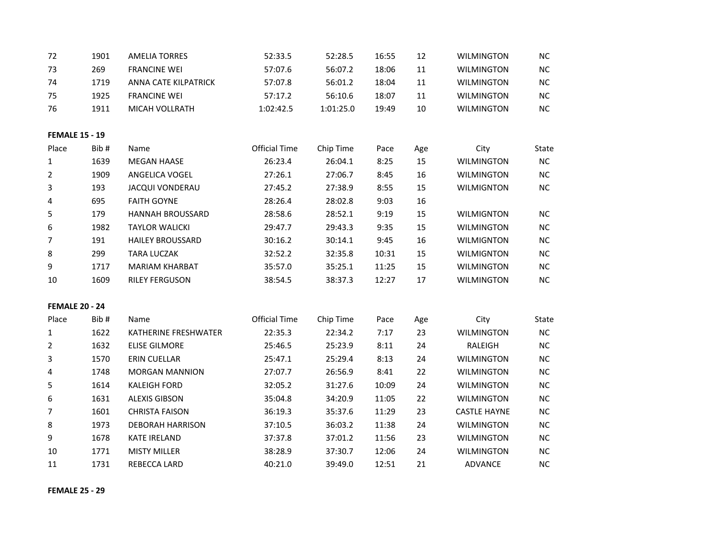| 72                    | 1901 | <b>AMELIA TORRES</b>    | 52:33.5              | 52:28.5   | 16:55 | 12  | <b>WILMINGTON</b>   | <b>NC</b> |
|-----------------------|------|-------------------------|----------------------|-----------|-------|-----|---------------------|-----------|
| 73                    | 269  | <b>FRANCINE WEI</b>     | 57:07.6              | 56:07.2   | 18:06 | 11  | <b>WILMINGTON</b>   | NC.       |
| 74                    | 1719 | ANNA CATE KILPATRICK    | 57:07.8              | 56:01.2   | 18:04 | 11  | <b>WILMINGTON</b>   | NC        |
| 75                    | 1925 | <b>FRANCINE WEI</b>     | 57:17.2              | 56:10.6   | 18:07 | 11  | <b>WILMINGTON</b>   | NC        |
| 76                    | 1911 | MICAH VOLLRATH          | 1:02:42.5            | 1:01:25.0 | 19:49 | 10  | <b>WILMINGTON</b>   | NC        |
| <b>FEMALE 15 - 19</b> |      |                         |                      |           |       |     |                     |           |
| Place                 | Bib# | Name                    | <b>Official Time</b> | Chip Time | Pace  | Age | City                | State     |
| 1                     | 1639 | <b>MEGAN HAASE</b>      | 26:23.4              | 26:04.1   | 8:25  | 15  | <b>WILMINGTON</b>   | NC        |
| $\overline{2}$        | 1909 | ANGELICA VOGEL          | 27:26.1              | 27:06.7   | 8:45  | 16  | <b>WILMINGTON</b>   | NC        |
| 3                     | 193  | <b>JACQUI VONDERAU</b>  | 27:45.2              | 27:38.9   | 8:55  | 15  | <b>WILMIGNTON</b>   | NC        |
| 4                     | 695  | <b>FAITH GOYNE</b>      | 28:26.4              | 28:02.8   | 9:03  | 16  |                     |           |
| 5                     | 179  | <b>HANNAH BROUSSARD</b> | 28:58.6              | 28:52.1   | 9:19  | 15  | <b>WILMIGNTON</b>   | <b>NC</b> |
| 6                     | 1982 | <b>TAYLOR WALICKI</b>   | 29:47.7              | 29:43.3   | 9:35  | 15  | <b>WILMINGTON</b>   | NC        |
| $\overline{7}$        | 191  | <b>HAILEY BROUSSARD</b> | 30:16.2              | 30:14.1   | 9:45  | 16  | <b>WILMIGNTON</b>   | NC        |
| 8                     | 299  | <b>TARA LUCZAK</b>      | 32:52.2              | 32:35.8   | 10:31 | 15  | <b>WILMIGNTON</b>   | NC        |
| 9                     | 1717 | <b>MARIAM KHARBAT</b>   | 35:57.0              | 35:25.1   | 11:25 | 15  | <b>WILMINGTON</b>   | NC        |
| 10                    | 1609 | <b>RILEY FERGUSON</b>   | 38:54.5              | 38:37.3   | 12:27 | 17  | <b>WILMINGTON</b>   | NC        |
| <b>FEMALE 20 - 24</b> |      |                         |                      |           |       |     |                     |           |
| Place                 | Bib# | Name                    | <b>Official Time</b> | Chip Time | Pace  | Age | City                | State     |
| 1                     | 1622 | KATHERINE FRESHWATER    | 22:35.3              | 22:34.2   | 7:17  | 23  | <b>WILMINGTON</b>   | NC        |
| $\overline{2}$        | 1632 | <b>ELISE GILMORE</b>    | 25:46.5              | 25:23.9   | 8:11  | 24  | RALEIGH             | NC        |
| 3                     | 1570 | <b>ERIN CUELLAR</b>     | 25:47.1              | 25:29.4   | 8:13  | 24  | <b>WILMINGTON</b>   | $NC$      |
| 4                     | 1748 | <b>MORGAN MANNION</b>   | 27:07.7              | 26:56.9   | 8:41  | 22  | <b>WILMINGTON</b>   | <b>NC</b> |
| 5                     | 1614 | <b>KALEIGH FORD</b>     | 32:05.2              | 31:27.6   | 10:09 | 24  | <b>WILMINGTON</b>   | NC        |
| 6                     | 1631 | <b>ALEXIS GIBSON</b>    | 35:04.8              | 34:20.9   | 11:05 | 22  | <b>WILMINGTON</b>   | $NC$      |
| 7                     | 1601 | <b>CHRISTA FAISON</b>   | 36:19.3              | 35:37.6   | 11:29 | 23  | <b>CASTLE HAYNE</b> | <b>NC</b> |
| 8                     | 1973 | <b>DEBORAH HARRISON</b> | 37:10.5              | 36:03.2   | 11:38 | 24  | <b>WILMINGTON</b>   | NC        |
| 9                     | 1678 | <b>KATE IRELAND</b>     | 37:37.8              | 37:01.2   | 11:56 | 23  | <b>WILMINGTON</b>   | NC        |
| 10                    | 1771 | <b>MISTY MILLER</b>     | 38:28.9              | 37:30.7   | 12:06 | 24  | <b>WILMINGTON</b>   | NC        |
| 11                    | 1731 | REBECCA LARD            | 40:21.0              | 39:49.0   | 12:51 | 21  | <b>ADVANCE</b>      | NC        |

**FEMALE 25 - 29**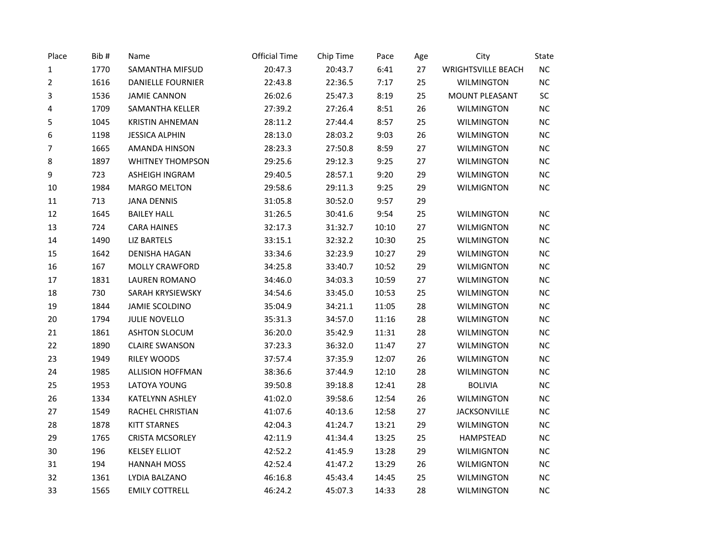| Place  | Bib# | Name                     | <b>Official Time</b> | Chip Time | Pace  | Age | City                      | State     |
|--------|------|--------------------------|----------------------|-----------|-------|-----|---------------------------|-----------|
| 1      | 1770 | SAMANTHA MIFSUD          | 20:47.3              | 20:43.7   | 6:41  | 27  | <b>WRIGHTSVILLE BEACH</b> | $NC$      |
| 2      | 1616 | <b>DANIELLE FOURNIER</b> | 22:43.8              | 22:36.5   | 7:17  | 25  | <b>WILMINGTON</b>         | $\sf NC$  |
| 3      | 1536 | <b>JAMIE CANNON</b>      | 26:02.6              | 25:47.3   | 8:19  | 25  | MOUNT PLEASANT            | $\sf SC$  |
| 4      | 1709 | <b>SAMANTHA KELLER</b>   | 27:39.2              | 27:26.4   | 8:51  | 26  | <b>WILMINGTON</b>         | NC        |
| 5      | 1045 | <b>KRISTIN AHNEMAN</b>   | 28:11.2              | 27:44.4   | 8:57  | 25  | WILMINGTON                | <b>NC</b> |
| 6      | 1198 | <b>JESSICA ALPHIN</b>    | 28:13.0              | 28:03.2   | 9:03  | 26  | <b>WILMINGTON</b>         | $NC$      |
| 7      | 1665 | AMANDA HINSON            | 28:23.3              | 27:50.8   | 8:59  | 27  | <b>WILMINGTON</b>         | $\sf NC$  |
| 8      | 1897 | <b>WHITNEY THOMPSON</b>  | 29:25.6              | 29:12.3   | 9:25  | 27  | <b>WILMINGTON</b>         | NC        |
| 9      | 723  | <b>ASHEIGH INGRAM</b>    | 29:40.5              | 28:57.1   | 9:20  | 29  | <b>WILMINGTON</b>         | $NC$      |
| $10\,$ | 1984 | <b>MARGO MELTON</b>      | 29:58.6              | 29:11.3   | 9:25  | 29  | <b>WILMIGNTON</b>         | NC        |
| 11     | 713  | <b>JANA DENNIS</b>       | 31:05.8              | 30:52.0   | 9:57  | 29  |                           |           |
| 12     | 1645 | <b>BAILEY HALL</b>       | 31:26.5              | 30:41.6   | 9:54  | 25  | <b>WILMINGTON</b>         | $NC$      |
| 13     | 724  | <b>CARA HAINES</b>       | 32:17.3              | 31:32.7   | 10:10 | 27  | <b>WILMIGNTON</b>         | $NC$      |
| 14     | 1490 | <b>LIZ BARTELS</b>       | 33:15.1              | 32:32.2   | 10:30 | 25  | <b>WILMINGTON</b>         | $NC$      |
| 15     | 1642 | <b>DENISHA HAGAN</b>     | 33:34.6              | 32:23.9   | 10:27 | 29  | <b>WILMINGTON</b>         | $NC$      |
| 16     | 167  | MOLLY CRAWFORD           | 34:25.8              | 33:40.7   | 10:52 | 29  | <b>WILMIGNTON</b>         | $NC$      |
| 17     | 1831 | <b>LAUREN ROMANO</b>     | 34:46.0              | 34:03.3   | 10:59 | 27  | <b>WILMINGTON</b>         | NC        |
| $18\,$ | 730  | SARAH KRYSIEWSKY         | 34:54.6              | 33:45.0   | 10:53 | 25  | <b>WILMINGTON</b>         | <b>NC</b> |
| 19     | 1844 | JAMIE SCOLDINO           | 35:04.9              | 34:21.1   | 11:05 | 28  | <b>WILMINGTON</b>         | $NC$      |
| 20     | 1794 | <b>JULIE NOVELLO</b>     | 35:31.3              | 34:57.0   | 11:16 | 28  | <b>WILMINGTON</b>         | $NC$      |
| 21     | 1861 | <b>ASHTON SLOCUM</b>     | 36:20.0              | 35:42.9   | 11:31 | 28  | <b>WILMINGTON</b>         | NC        |
| 22     | 1890 | <b>CLAIRE SWANSON</b>    | 37:23.3              | 36:32.0   | 11:47 | 27  | <b>WILMINGTON</b>         | $NC$      |
| 23     | 1949 | RILEY WOODS              | 37:57.4              | 37:35.9   | 12:07 | 26  | <b>WILMINGTON</b>         | $NC$      |
| 24     | 1985 | ALLISION HOFFMAN         | 38:36.6              | 37:44.9   | 12:10 | 28  | <b>WILMINGTON</b>         | $NC$      |
| 25     | 1953 | LATOYA YOUNG             | 39:50.8              | 39:18.8   | 12:41 | 28  | <b>BOLIVIA</b>            | $NC$      |
| 26     | 1334 | KATELYNN ASHLEY          | 41:02.0              | 39:58.6   | 12:54 | 26  | <b>WILMINGTON</b>         | $NC$      |
| 27     | 1549 | RACHEL CHRISTIAN         | 41:07.6              | 40:13.6   | 12:58 | 27  | <b>JACKSONVILLE</b>       | NC        |
| 28     | 1878 | <b>KITT STARNES</b>      | 42:04.3              | 41:24.7   | 13:21 | 29  | <b>WILMINGTON</b>         | $NC$      |
| 29     | 1765 | <b>CRISTA MCSORLEY</b>   | 42:11.9              | 41:34.4   | 13:25 | 25  | HAMPSTEAD                 | $NC$      |
| 30     | 196  | <b>KELSEY ELLIOT</b>     | 42:52.2              | 41:45.9   | 13:28 | 29  | <b>WILMIGNTON</b>         | $NC$      |
| 31     | 194  | <b>HANNAH MOSS</b>       | 42:52.4              | 41:47.2   | 13:29 | 26  | <b>WILMIGNTON</b>         | NC        |
| 32     | 1361 | LYDIA BALZANO            | 46:16.8              | 45:43.4   | 14:45 | 25  | <b>WILMINGTON</b>         | $NC$      |
| 33     | 1565 | <b>EMILY COTTRELL</b>    | 46:24.2              | 45:07.3   | 14:33 | 28  | <b>WILMINGTON</b>         | NC        |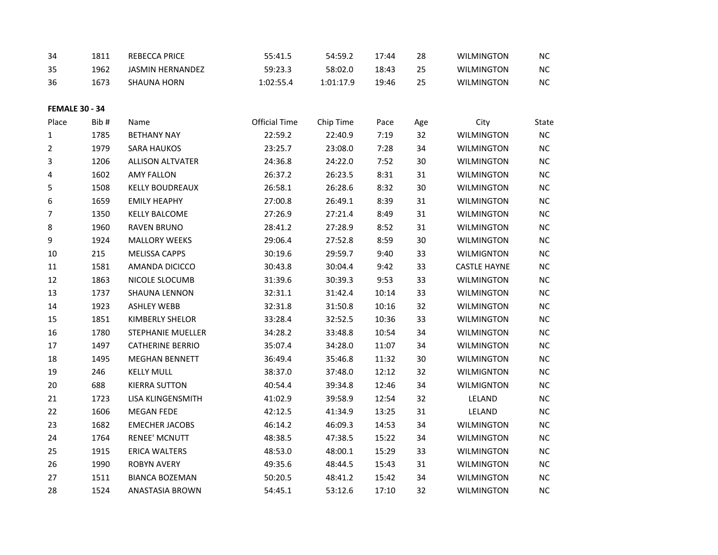| 34                    | 1811 | <b>REBECCA PRICE</b>     | 55:41.5              | 54:59.2   | 17:44 | 28  | <b>WILMINGTON</b>   | <b>NC</b>  |
|-----------------------|------|--------------------------|----------------------|-----------|-------|-----|---------------------|------------|
| 35                    | 1962 | <b>JASMIN HERNANDEZ</b>  | 59:23.3              | 58:02.0   | 18:43 | 25  | <b>WILMINGTON</b>   | NC         |
| 36                    | 1673 | <b>SHAUNA HORN</b>       | 1:02:55.4            | 1:01:17.9 | 19:46 | 25  | <b>WILMINGTON</b>   | NC         |
|                       |      |                          |                      |           |       |     |                     |            |
| <b>FEMALE 30 - 34</b> |      |                          |                      |           |       |     |                     |            |
| Place                 | Bib# | Name                     | <b>Official Time</b> | Chip Time | Pace  | Age | City                | State      |
| 1                     | 1785 | <b>BETHANY NAY</b>       | 22:59.2              | 22:40.9   | 7:19  | 32  | <b>WILMINGTON</b>   | ${\sf NC}$ |
| 2                     | 1979 | <b>SARA HAUKOS</b>       | 23:25.7              | 23:08.0   | 7:28  | 34  | <b>WILMINGTON</b>   | NC         |
| 3                     | 1206 | <b>ALLISON ALTVATER</b>  | 24:36.8              | 24:22.0   | 7:52  | 30  | WILMINGTON          | NC         |
| 4                     | 1602 | <b>AMY FALLON</b>        | 26:37.2              | 26:23.5   | 8:31  | 31  | WILMINGTON          | <b>NC</b>  |
| 5                     | 1508 | <b>KELLY BOUDREAUX</b>   | 26:58.1              | 26:28.6   | 8:32  | 30  | <b>WILMINGTON</b>   | NC         |
| 6                     | 1659 | <b>EMILY HEAPHY</b>      | 27:00.8              | 26:49.1   | 8:39  | 31  | <b>WILMINGTON</b>   | NC         |
| 7                     | 1350 | <b>KELLY BALCOME</b>     | 27:26.9              | 27:21.4   | 8:49  | 31  | <b>WILMINGTON</b>   | NC         |
| 8                     | 1960 | <b>RAVEN BRUNO</b>       | 28:41.2              | 27:28.9   | 8:52  | 31  | <b>WILMINGTON</b>   | NC         |
| 9                     | 1924 | <b>MALLORY WEEKS</b>     | 29:06.4              | 27:52.8   | 8:59  | 30  | <b>WILMINGTON</b>   | <b>NC</b>  |
| $10\,$                | 215  | <b>MELISSA CAPPS</b>     | 30:19.6              | 29:59.7   | 9:40  | 33  | <b>WILMIGNTON</b>   | NC         |
| 11                    | 1581 | AMANDA DICICCO           | 30:43.8              | 30:04.4   | 9:42  | 33  | <b>CASTLE HAYNE</b> | NC         |
| 12                    | 1863 | NICOLE SLOCUMB           | 31:39.6              | 30:39.3   | 9:53  | 33  | <b>WILMINGTON</b>   | NC         |
| 13                    | 1737 | <b>SHAUNA LENNON</b>     | 32:31.1              | 31:42.4   | 10:14 | 33  | <b>WILMINGTON</b>   | NC         |
| 14                    | 1923 | <b>ASHLEY WEBB</b>       | 32:31.8              | 31:50.8   | 10:16 | 32  | WILMINGTON          | <b>NC</b>  |
| 15                    | 1851 | <b>KIMBERLY SHELOR</b>   | 33:28.4              | 32:52.5   | 10:36 | 33  | <b>WILMINGTON</b>   | NC         |
| 16                    | 1780 | <b>STEPHANIE MUELLER</b> | 34:28.2              | 33:48.8   | 10:54 | 34  | <b>WILMINGTON</b>   | <b>NC</b>  |
| 17                    | 1497 | <b>CATHERINE BERRIO</b>  | 35:07.4              | 34:28.0   | 11:07 | 34  | <b>WILMINGTON</b>   | NC         |
| 18                    | 1495 | <b>MEGHAN BENNETT</b>    | 36:49.4              | 35:46.8   | 11:32 | 30  | <b>WILMINGTON</b>   | NC         |
| 19                    | 246  | <b>KELLY MULL</b>        | 38:37.0              | 37:48.0   | 12:12 | 32  | <b>WILMIGNTON</b>   | <b>NC</b>  |
| 20                    | 688  | <b>KIERRA SUTTON</b>     | 40:54.4              | 39:34.8   | 12:46 | 34  | <b>WILMIGNTON</b>   | NC         |
| 21                    | 1723 | LISA KLINGENSMITH        | 41:02.9              | 39:58.9   | 12:54 | 32  | LELAND              | NC         |
| 22                    | 1606 | <b>MEGAN FEDE</b>        | 42:12.5              | 41:34.9   | 13:25 | 31  | LELAND              | <b>NC</b>  |
| 23                    | 1682 | <b>EMECHER JACOBS</b>    | 46:14.2              | 46:09.3   | 14:53 | 34  | <b>WILMINGTON</b>   | NC         |
| 24                    | 1764 | <b>RENEE' MCNUTT</b>     | 48:38.5              | 47:38.5   | 15:22 | 34  | <b>WILMINGTON</b>   | <b>NC</b>  |
| 25                    | 1915 | <b>ERICA WALTERS</b>     | 48:53.0              | 48:00.1   | 15:29 | 33  | <b>WILMINGTON</b>   | NC         |
| 26                    | 1990 | <b>ROBYN AVERY</b>       | 49:35.6              | 48:44.5   | 15:43 | 31  | <b>WILMINGTON</b>   | NC         |
| 27                    | 1511 | <b>BIANCA BOZEMAN</b>    | 50:20.5              | 48:41.2   | 15:42 | 34  | <b>WILMINGTON</b>   | <b>NC</b>  |
| 28                    | 1524 | ANASTASIA BROWN          | 54:45.1              | 53:12.6   | 17:10 | 32  | <b>WILMINGTON</b>   | NC         |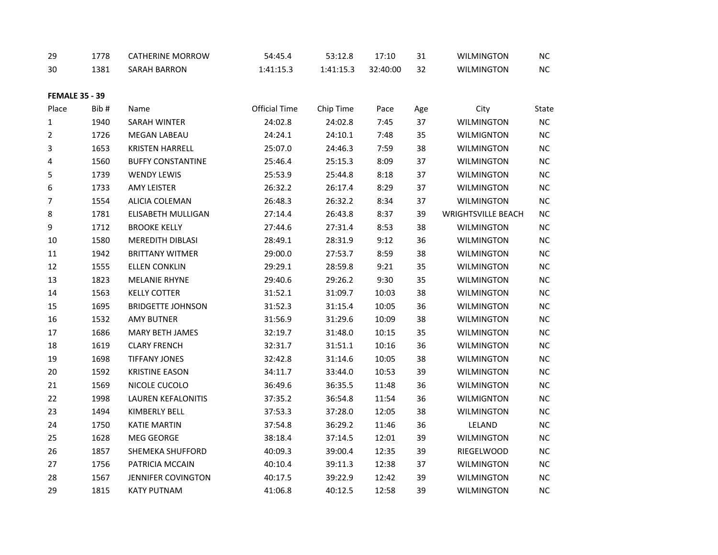| 29                    | 1778 | <b>CATHERINE MORROW</b>   | 54:45.4       | 53:12.8   | 17:10    | 31  | <b>WILMINGTON</b>         | NC         |
|-----------------------|------|---------------------------|---------------|-----------|----------|-----|---------------------------|------------|
| 30                    | 1381 | SARAH BARRON              | 1:41:15.3     | 1:41:15.3 | 32:40:00 | 32  | <b>WILMINGTON</b>         | $NC$       |
|                       |      |                           |               |           |          |     |                           |            |
| <b>FEMALE 35 - 39</b> |      |                           |               |           |          |     |                           |            |
| Place                 | Bib# | Name                      | Official Time | Chip Time | Pace     | Age | City                      | State      |
| 1                     | 1940 | SARAH WINTER              | 24:02.8       | 24:02.8   | 7:45     | 37  | <b>WILMINGTON</b>         | NC         |
| 2                     | 1726 | MEGAN LABEAU              | 24:24.1       | 24:10.1   | 7:48     | 35  | <b>WILMIGNTON</b>         | NC         |
| 3                     | 1653 | <b>KRISTEN HARRELL</b>    | 25:07.0       | 24:46.3   | 7:59     | 38  | WILMINGTON                | NC         |
| 4                     | 1560 | <b>BUFFY CONSTANTINE</b>  | 25:46.4       | 25:15.3   | 8:09     | 37  | <b>WILMINGTON</b>         | $NC$       |
| 5                     | 1739 | <b>WENDY LEWIS</b>        | 25:53.9       | 25:44.8   | 8:18     | 37  | <b>WILMINGTON</b>         | $NC$       |
| 6                     | 1733 | <b>AMY LEISTER</b>        | 26:32.2       | 26:17.4   | 8:29     | 37  | <b>WILMINGTON</b>         | $NC$       |
| $\overline{7}$        | 1554 | <b>ALICIA COLEMAN</b>     | 26:48.3       | 26:32.2   | 8:34     | 37  | <b>WILMINGTON</b>         | NC         |
| 8                     | 1781 | ELISABETH MULLIGAN        | 27:14.4       | 26:43.8   | 8:37     | 39  | <b>WRIGHTSVILLE BEACH</b> | $NC$       |
| 9                     | 1712 | <b>BROOKE KELLY</b>       | 27:44.6       | 27:31.4   | 8:53     | 38  | <b>WILMINGTON</b>         | NC         |
| 10                    | 1580 | MEREDITH DIBLASI          | 28:49.1       | 28:31.9   | 9:12     | 36  | <b>WILMINGTON</b>         | $NC$       |
| 11                    | 1942 | <b>BRITTANY WITMER</b>    | 29:00.0       | 27:53.7   | 8:59     | 38  | <b>WILMINGTON</b>         | NC         |
| 12                    | 1555 | <b>ELLEN CONKLIN</b>      | 29:29.1       | 28:59.8   | 9:21     | 35  | <b>WILMINGTON</b>         | NC         |
| 13                    | 1823 | <b>MELANIE RHYNE</b>      | 29:40.6       | 29:26.2   | 9:30     | 35  | <b>WILMINGTON</b>         | $NC$       |
| 14                    | 1563 | <b>KELLY COTTER</b>       | 31:52.1       | 31:09.7   | 10:03    | 38  | <b>WILMINGTON</b>         | $NC$       |
| 15                    | 1695 | <b>BRIDGETTE JOHNSON</b>  | 31:52.3       | 31:15.4   | 10:05    | 36  | <b>WILMINGTON</b>         | $\sf NC$   |
| 16                    | 1532 | <b>AMY BUTNER</b>         | 31:56.9       | 31:29.6   | 10:09    | 38  | <b>WILMINGTON</b>         | $\sf NC$   |
| 17                    | 1686 | <b>MARY BETH JAMES</b>    | 32:19.7       | 31:48.0   | 10:15    | 35  | <b>WILMINGTON</b>         | NC         |
| 18                    | 1619 | <b>CLARY FRENCH</b>       | 32:31.7       | 31:51.1   | 10:16    | 36  | <b>WILMINGTON</b>         | NC         |
| 19                    | 1698 | <b>TIFFANY JONES</b>      | 32:42.8       | 31:14.6   | 10:05    | 38  | <b>WILMINGTON</b>         | NC         |
| $20\,$                | 1592 | <b>KRISTINE EASON</b>     | 34:11.7       | 33:44.0   | 10:53    | 39  | <b>WILMINGTON</b>         | $NC$       |
| 21                    | 1569 | NICOLE CUCOLO             | 36:49.6       | 36:35.5   | 11:48    | 36  | <b>WILMINGTON</b>         | NC         |
| 22                    | 1998 | <b>LAUREN KEFALONITIS</b> | 37:35.2       | 36:54.8   | 11:54    | 36  | <b>WILMIGNTON</b>         | <b>NC</b>  |
| 23                    | 1494 | KIMBERLY BELL             | 37:53.3       | 37:28.0   | 12:05    | 38  | <b>WILMINGTON</b>         | $NC$       |
| 24                    | 1750 | <b>KATIE MARTIN</b>       | 37:54.8       | 36:29.2   | 11:46    | 36  | LELAND                    | ${\sf NC}$ |
| 25                    | 1628 | MEG GEORGE                | 38:18.4       | 37:14.5   | 12:01    | 39  | <b>WILMINGTON</b>         | $NC$       |
| 26                    | 1857 | <b>SHEMEKA SHUFFORD</b>   | 40:09.3       | 39:00.4   | 12:35    | 39  | RIEGELWOOD                | NC         |
| 27                    | 1756 | PATRICIA MCCAIN           | 40:10.4       | 39:11.3   | 12:38    | 37  | <b>WILMINGTON</b>         | $NC$       |
| 28                    | 1567 | <b>JENNIFER COVINGTON</b> | 40:17.5       | 39:22.9   | 12:42    | 39  | <b>WILMINGTON</b>         | NC         |
| 29                    | 1815 | <b>KATY PUTNAM</b>        | 41:06.8       | 40:12.5   | 12:58    | 39  | <b>WILMINGTON</b>         | NC         |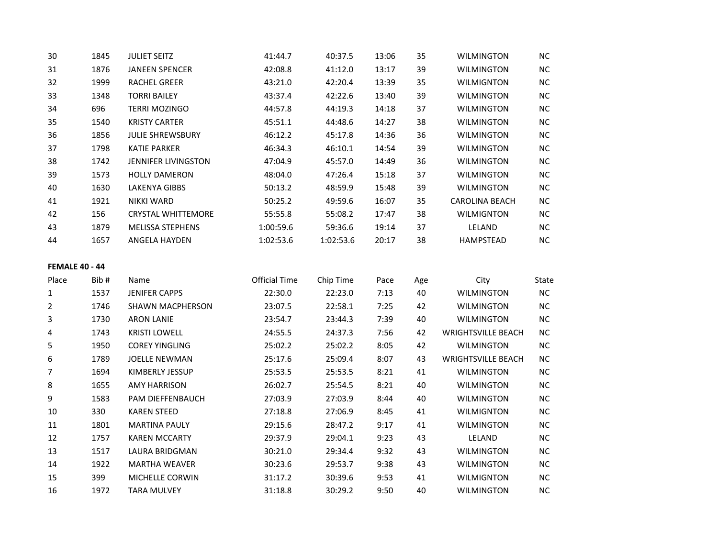| 30                    | 1845 | <b>JULIET SEITZ</b>        | 41:44.7              | 40:37.5   | 13:06 | 35  | <b>WILMINGTON</b>         | <b>NC</b>  |
|-----------------------|------|----------------------------|----------------------|-----------|-------|-----|---------------------------|------------|
| 31                    | 1876 | <b>JANEEN SPENCER</b>      | 42:08.8              | 41:12.0   | 13:17 | 39  | <b>WILMINGTON</b>         | ${\sf NC}$ |
| 32                    | 1999 | RACHEL GREER               | 43:21.0              | 42:20.4   | 13:39 | 35  | <b>WILMIGNTON</b>         | $\sf NC$   |
| 33                    | 1348 | <b>TORRI BAILEY</b>        | 43:37.4              | 42:22.6   | 13:40 | 39  | <b>WILMINGTON</b>         | NC         |
| 34                    | 696  | <b>TERRI MOZINGO</b>       | 44:57.8              | 44:19.3   | 14:18 | 37  | <b>WILMINGTON</b>         | $NC$       |
| 35                    | 1540 | <b>KRISTY CARTER</b>       | 45:51.1              | 44:48.6   | 14:27 | 38  | <b>WILMINGTON</b>         | $NC$       |
| 36                    | 1856 | <b>JULIE SHREWSBURY</b>    | 46:12.2              | 45:17.8   | 14:36 | 36  | <b>WILMINGTON</b>         | NC         |
| 37                    | 1798 | <b>KATIE PARKER</b>        | 46:34.3              | 46:10.1   | 14:54 | 39  | <b>WILMINGTON</b>         | <b>NC</b>  |
| 38                    | 1742 | <b>JENNIFER LIVINGSTON</b> | 47:04.9              | 45:57.0   | 14:49 | 36  | <b>WILMINGTON</b>         | $NC$       |
| 39                    | 1573 | <b>HOLLY DAMERON</b>       | 48:04.0              | 47:26.4   | 15:18 | 37  | <b>WILMINGTON</b>         | NC         |
| 40                    | 1630 | <b>LAKENYA GIBBS</b>       | 50:13.2              | 48:59.9   | 15:48 | 39  | <b>WILMINGTON</b>         | <b>NC</b>  |
| 41                    | 1921 | <b>NIKKI WARD</b>          | 50:25.2              | 49:59.6   | 16:07 | 35  | <b>CAROLINA BEACH</b>     | $NC$       |
| 42                    | 156  | <b>CRYSTAL WHITTEMORE</b>  | 55:55.8              | 55:08.2   | 17:47 | 38  | <b>WILMIGNTON</b>         | NC         |
| 43                    | 1879 | MELISSA STEPHENS           | 1:00:59.6            | 59:36.6   | 19:14 | 37  | LELAND                    | NC         |
| 44                    | 1657 | ANGELA HAYDEN              | 1:02:53.6            | 1:02:53.6 | 20:17 | 38  | HAMPSTEAD                 | <b>NC</b>  |
| <b>FEMALE 40 - 44</b> |      |                            |                      |           |       |     |                           |            |
| Place                 | Bib# | Name                       | <b>Official Time</b> | Chip Time | Pace  | Age | City                      | State      |
| 1                     | 1537 | <b>JENIFER CAPPS</b>       | 22:30.0              | 22:23.0   | 7:13  | 40  | <b>WILMINGTON</b>         | NC         |
| $\overline{2}$        | 1746 | SHAWN MACPHERSON           | 23:07.5              | 22:58.1   | 7:25  | 42  | <b>WILMINGTON</b>         | $NC$       |
| 3                     | 1730 | <b>ARON LANIE</b>          | 23:54.7              | 23:44.3   | 7:39  | 40  | <b>WILMINGTON</b>         | NC         |
| 4                     | 1743 | <b>KRISTI LOWELL</b>       | 24:55.5              | 24:37.3   | 7:56  | 42  | <b>WRIGHTSVILLE BEACH</b> | NC         |
| 5                     | 1950 | <b>COREY YINGLING</b>      | 25:02.2              | 25:02.2   | 8:05  | 42  | <b>WILMINGTON</b>         | <b>NC</b>  |
| 6                     | 1789 | <b>JOELLE NEWMAN</b>       | 25:17.6              | 25:09.4   | 8:07  | 43  | <b>WRIGHTSVILLE BEACH</b> | <b>NC</b>  |
| 7                     | 1694 | KIMBERLY JESSUP            | 25:53.5              | 25:53.5   | 8:21  | 41  | <b>WILMINGTON</b>         | NC         |
| 8                     | 1655 | <b>AMY HARRISON</b>        | 26:02.7              | 25:54.5   | 8:21  | 40  | <b>WILMINGTON</b>         | $NC$       |
| 9                     | 1583 | PAM DIEFFENBAUCH           | 27:03.9              | 27:03.9   | 8:44  | 40  | <b>WILMINGTON</b>         | $\sf NC$   |
| 10                    | 330  | <b>KAREN STEED</b>         | 27:18.8              | 27:06.9   | 8:45  | 41  | <b>WILMIGNTON</b>         | $NC$       |
| 11                    | 1801 | <b>MARTINA PAULY</b>       | 29:15.6              | 28:47.2   | 9:17  | 41  | <b>WILMINGTON</b>         | NC         |
| 12                    | 1757 | <b>KAREN MCCARTY</b>       | 29:37.9              | 29:04.1   | 9:23  | 43  | LELAND                    | NC         |
| 13                    | 1517 | LAURA BRIDGMAN             | 30:21.0              | 29:34.4   | 9:32  | 43  | <b>WILMINGTON</b>         | <b>NC</b>  |
| 14                    | 1922 | <b>MARTHA WEAVER</b>       | 30:23.6              | 29:53.7   | 9:38  | 43  | <b>WILMINGTON</b>         | <b>NC</b>  |
| 15                    | 399  | MICHELLE CORWIN            | 31:17.2              | 30:39.6   | 9:53  | 41  | <b>WILMIGNTON</b>         | <b>NC</b>  |

1972 TARA MULVEY 31:18.8 30:29.2 9:50 40 WILMINGTON NC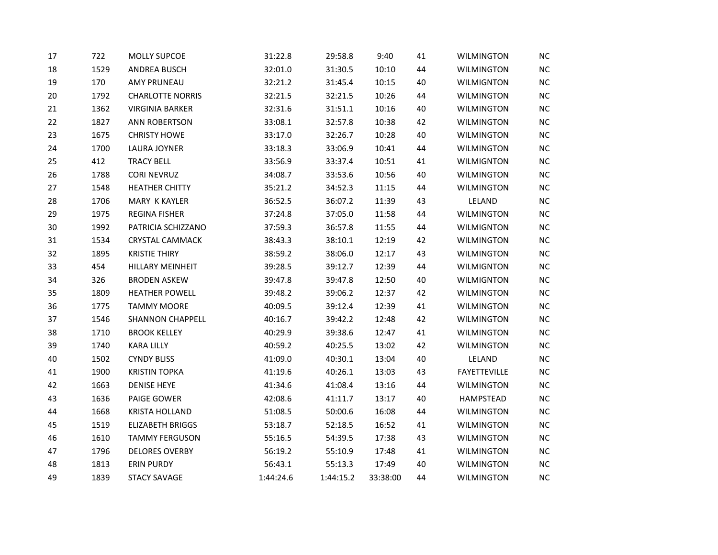| 17 | 722  | MOLLY SUPCOE            | 31:22.8   | 29:58.8   | 9:40     | 41 | <b>WILMINGTON</b>   | NC        |
|----|------|-------------------------|-----------|-----------|----------|----|---------------------|-----------|
| 18 | 1529 | ANDREA BUSCH            | 32:01.0   | 31:30.5   | 10:10    | 44 | <b>WILMINGTON</b>   | NC        |
| 19 | 170  | <b>AMY PRUNEAU</b>      | 32:21.2   | 31:45.4   | 10:15    | 40 | <b>WILMIGNTON</b>   | <b>NC</b> |
| 20 | 1792 | <b>CHARLOTTE NORRIS</b> | 32:21.5   | 32:21.5   | 10:26    | 44 | <b>WILMINGTON</b>   | <b>NC</b> |
| 21 | 1362 | <b>VIRGINIA BARKER</b>  | 32:31.6   | 31:51.1   | 10:16    | 40 | <b>WILMINGTON</b>   | <b>NC</b> |
| 22 | 1827 | <b>ANN ROBERTSON</b>    | 33:08.1   | 32:57.8   | 10:38    | 42 | <b>WILMINGTON</b>   | $NC$      |
| 23 | 1675 | <b>CHRISTY HOWE</b>     | 33:17.0   | 32:26.7   | 10:28    | 40 | <b>WILMINGTON</b>   | <b>NC</b> |
| 24 | 1700 | LAURA JOYNER            | 33:18.3   | 33:06.9   | 10:41    | 44 | <b>WILMINGTON</b>   | NC        |
| 25 | 412  | <b>TRACY BELL</b>       | 33:56.9   | 33:37.4   | 10:51    | 41 | <b>WILMIGNTON</b>   | <b>NC</b> |
| 26 | 1788 | <b>CORI NEVRUZ</b>      | 34:08.7   | 33:53.6   | 10:56    | 40 | <b>WILMINGTON</b>   | NC        |
| 27 | 1548 | <b>HEATHER CHITTY</b>   | 35:21.2   | 34:52.3   | 11:15    | 44 | <b>WILMINGTON</b>   | <b>NC</b> |
| 28 | 1706 | MARY K KAYLER           | 36:52.5   | 36:07.2   | 11:39    | 43 | LELAND              | <b>NC</b> |
| 29 | 1975 | <b>REGINA FISHER</b>    | 37:24.8   | 37:05.0   | 11:58    | 44 | <b>WILMINGTON</b>   | NC        |
| 30 | 1992 | PATRICIA SCHIZZANO      | 37:59.3   | 36:57.8   | 11:55    | 44 | <b>WILMIGNTON</b>   | NC        |
| 31 | 1534 | <b>CRYSTAL CAMMACK</b>  | 38:43.3   | 38:10.1   | 12:19    | 42 | <b>WILMINGTON</b>   | <b>NC</b> |
| 32 | 1895 | <b>KRISTIE THIRY</b>    | 38:59.2   | 38:06.0   | 12:17    | 43 | <b>WILMINGTON</b>   | <b>NC</b> |
| 33 | 454  | HILLARY MEINHEIT        | 39:28.5   | 39:12.7   | 12:39    | 44 | <b>WILMIGNTON</b>   | NC        |
| 34 | 326  | <b>BRODEN ASKEW</b>     | 39:47.8   | 39:47.8   | 12:50    | 40 | <b>WILMIGNTON</b>   | <b>NC</b> |
| 35 | 1809 | <b>HEATHER POWELL</b>   | 39:48.2   | 39:06.2   | 12:37    | 42 | <b>WILMINGTON</b>   | <b>NC</b> |
| 36 | 1775 | <b>TAMMY MOORE</b>      | 40:09.5   | 39:12.4   | 12:39    | 41 | <b>WILMINGTON</b>   | NC        |
| 37 | 1546 | <b>SHANNON CHAPPELL</b> | 40:16.7   | 39:42.2   | 12:48    | 42 | <b>WILMINGTON</b>   | NC        |
| 38 | 1710 | <b>BROOK KELLEY</b>     | 40:29.9   | 39:38.6   | 12:47    | 41 | <b>WILMINGTON</b>   | <b>NC</b> |
| 39 | 1740 | <b>KARA LILLY</b>       | 40:59.2   | 40:25.5   | 13:02    | 42 | <b>WILMINGTON</b>   | <b>NC</b> |
| 40 | 1502 | <b>CYNDY BLISS</b>      | 41:09.0   | 40:30.1   | 13:04    | 40 | LELAND              | NC        |
| 41 | 1900 | <b>KRISTIN TOPKA</b>    | 41:19.6   | 40:26.1   | 13:03    | 43 | <b>FAYETTEVILLE</b> | <b>NC</b> |
| 42 | 1663 | <b>DENISE HEYE</b>      | 41:34.6   | 41:08.4   | 13:16    | 44 | WILMINGTON          | <b>NC</b> |
| 43 | 1636 | PAIGE GOWER             | 42:08.6   | 41:11.7   | 13:17    | 40 | HAMPSTEAD           | <b>NC</b> |
| 44 | 1668 | <b>KRISTA HOLLAND</b>   | 51:08.5   | 50:00.6   | 16:08    | 44 | <b>WILMINGTON</b>   | NC        |
| 45 | 1519 | <b>ELIZABETH BRIGGS</b> | 53:18.7   | 52:18.5   | 16:52    | 41 | <b>WILMINGTON</b>   | <b>NC</b> |
| 46 | 1610 | <b>TAMMY FERGUSON</b>   | 55:16.5   | 54:39.5   | 17:38    | 43 | <b>WILMINGTON</b>   | <b>NC</b> |
| 47 | 1796 | <b>DELORES OVERBY</b>   | 56:19.2   | 55:10.9   | 17:48    | 41 | WILMINGTON          | NC        |
| 48 | 1813 | <b>ERIN PURDY</b>       | 56:43.1   | 55:13.3   | 17:49    | 40 | <b>WILMINGTON</b>   | NC        |
| 49 | 1839 | <b>STACY SAVAGE</b>     | 1:44:24.6 | 1:44:15.2 | 33:38:00 | 44 | <b>WILMINGTON</b>   | <b>NC</b> |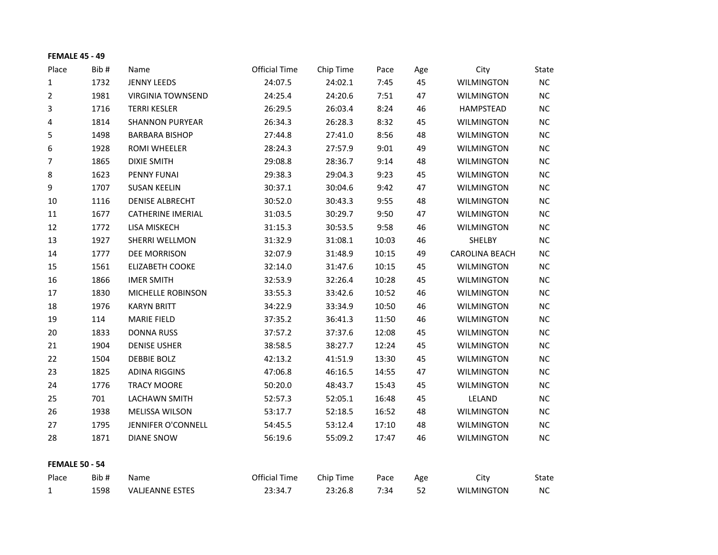| <b>FEMALE 45 - 49</b> |      |                          |                      |           |       |     |                       |           |
|-----------------------|------|--------------------------|----------------------|-----------|-------|-----|-----------------------|-----------|
| Place                 | Bib# | Name                     | <b>Official Time</b> | Chip Time | Pace  | Age | City                  | State     |
| 1                     | 1732 | <b>JENNY LEEDS</b>       | 24:07.5              | 24:02.1   | 7:45  | 45  | <b>WILMINGTON</b>     | $NC$      |
| 2                     | 1981 | <b>VIRGINIA TOWNSEND</b> | 24:25.4              | 24:20.6   | 7:51  | 47  | <b>WILMINGTON</b>     | $NC$      |
| 3                     | 1716 | <b>TERRI KESLER</b>      | 26:29.5              | 26:03.4   | 8:24  | 46  | HAMPSTEAD             | NC        |
| 4                     | 1814 | <b>SHANNON PURYEAR</b>   | 26:34.3              | 26:28.3   | 8:32  | 45  | <b>WILMINGTON</b>     | <b>NC</b> |
| 5                     | 1498 | <b>BARBARA BISHOP</b>    | 27:44.8              | 27:41.0   | 8:56  | 48  | <b>WILMINGTON</b>     | NC        |
| 6                     | 1928 | <b>ROMI WHEELER</b>      | 28:24.3              | 27:57.9   | 9:01  | 49  | <b>WILMINGTON</b>     | $NC$      |
| 7                     | 1865 | <b>DIXIE SMITH</b>       | 29:08.8              | 28:36.7   | 9:14  | 48  | <b>WILMINGTON</b>     | NC        |
| 8                     | 1623 | PENNY FUNAI              | 29:38.3              | 29:04.3   | 9:23  | 45  | <b>WILMINGTON</b>     | $NC$      |
| 9                     | 1707 | <b>SUSAN KEELIN</b>      | 30:37.1              | 30:04.6   | 9:42  | 47  | <b>WILMINGTON</b>     | NC        |
| 10                    | 1116 | <b>DENISE ALBRECHT</b>   | 30:52.0              | 30:43.3   | 9:55  | 48  | <b>WILMINGTON</b>     | NC        |
| 11                    | 1677 | <b>CATHERINE IMERIAL</b> | 31:03.5              | 30:29.7   | 9:50  | 47  | <b>WILMINGTON</b>     | NC        |
| 12                    | 1772 | LISA MISKECH             | 31:15.3              | 30:53.5   | 9:58  | 46  | <b>WILMINGTON</b>     | $NC$      |
| 13                    | 1927 | SHERRI WELLMON           | 31:32.9              | 31:08.1   | 10:03 | 46  | SHELBY                | NC        |
| 14                    | 1777 | DEE MORRISON             | 32:07.9              | 31:48.9   | 10:15 | 49  | <b>CAROLINA BEACH</b> | NC        |
| 15                    | 1561 | <b>ELIZABETH COOKE</b>   | 32:14.0              | 31:47.6   | 10:15 | 45  | <b>WILMINGTON</b>     | NC        |
| 16                    | 1866 | <b>IMER SMITH</b>        | 32:53.9              | 32:26.4   | 10:28 | 45  | <b>WILMINGTON</b>     | $NC$      |
| 17                    | 1830 | MICHELLE ROBINSON        | 33:55.3              | 33:42.6   | 10:52 | 46  | <b>WILMINGTON</b>     | NC        |
| 18                    | 1976 | <b>KARYN BRITT</b>       | 34:22.9              | 33:34.9   | 10:50 | 46  | <b>WILMINGTON</b>     | NC        |
| 19                    | 114  | <b>MARIE FIELD</b>       | 37:35.2              | 36:41.3   | 11:50 | 46  | <b>WILMINGTON</b>     | <b>NC</b> |
| 20                    | 1833 | <b>DONNA RUSS</b>        | 37:57.2              | 37:37.6   | 12:08 | 45  | <b>WILMINGTON</b>     | NC        |
| 21                    | 1904 | <b>DENISE USHER</b>      | 38:58.5              | 38:27.7   | 12:24 | 45  | <b>WILMINGTON</b>     | NC        |
| 22                    | 1504 | <b>DEBBIE BOLZ</b>       | 42:13.2              | 41:51.9   | 13:30 | 45  | <b>WILMINGTON</b>     | NC        |
| 23                    | 1825 | <b>ADINA RIGGINS</b>     | 47:06.8              | 46:16.5   | 14:55 | 47  | <b>WILMINGTON</b>     | NC        |
| 24                    | 1776 | <b>TRACY MOORE</b>       | 50:20.0              | 48:43.7   | 15:43 | 45  | <b>WILMINGTON</b>     | NC        |
| 25                    | 701  | LACHAWN SMITH            | 52:57.3              | 52:05.1   | 16:48 | 45  | LELAND                | <b>NC</b> |
| 26                    | 1938 | MELISSA WILSON           | 53:17.7              | 52:18.5   | 16:52 | 48  | <b>WILMINGTON</b>     | NC        |
| 27                    | 1795 | JENNIFER O'CONNELL       | 54:45.5              | 53:12.4   | 17:10 | 48  | <b>WILMINGTON</b>     | $NC$      |
| 28                    | 1871 | <b>DIANE SNOW</b>        | 56:19.6              | 55:09.2   | 17:47 | 46  | <b>WILMINGTON</b>     | NC        |
| <b>FEMALE 50 - 54</b> |      |                          |                      |           |       |     |                       |           |
| Place                 | Bib# | Name                     | <b>Official Time</b> | Chip Time | Pace  | Age | City                  | State     |
| 1                     | 1598 | <b>VALJEANNE ESTES</b>   | 23:34.7              | 23:26.8   | 7:34  | 52  | <b>WILMINGTON</b>     | NC        |
|                       |      |                          |                      |           |       |     |                       |           |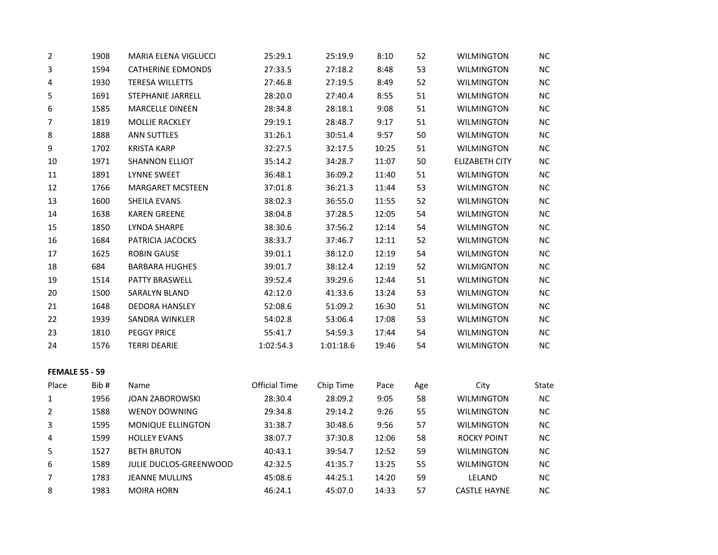| 2                     | 1908 | MARIA ELENA VIGLUCCI     | 25:29.1              | 25:19.9   | 8:10  | 52  | <b>WILMINGTON</b>     | NC        |
|-----------------------|------|--------------------------|----------------------|-----------|-------|-----|-----------------------|-----------|
| 3                     | 1594 | <b>CATHERINE EDMONDS</b> | 27:33.5              | 27:18.2   | 8:48  | 53  | <b>WILMINGTON</b>     | $NC$      |
| 4                     | 1930 | <b>TERESA WILLETTS</b>   | 27:46.8              | 27:19.5   | 8:49  | 52  | <b>WILMINGTON</b>     | $NC$      |
| 5                     | 1691 | <b>STEPHANIE JARRELL</b> | 28:20.0              | 27:40.4   | 8:55  | 51  | <b>WILMINGTON</b>     | NC        |
| 6                     | 1585 | <b>MARCELLE DINEEN</b>   | 28:34.8              | 28:18.1   | 9:08  | 51  | <b>WILMINGTON</b>     | NC        |
| 7                     | 1819 | MOLLIE RACKLEY           | 29:19.1              | 28:48.7   | 9:17  | 51  | <b>WILMINGTON</b>     | $NC$      |
| 8                     | 1888 | <b>ANN SUTTLES</b>       | 31:26.1              | 30:51.4   | 9:57  | 50  | <b>WILMINGTON</b>     | $NC$      |
| 9                     | 1702 | <b>KRISTA KARP</b>       | 32:27.5              | 32:17.5   | 10:25 | 51  | <b>WILMINGTON</b>     | $NC$      |
| 10                    | 1971 | <b>SHANNON ELLIOT</b>    | 35:14.2              | 34:28.7   | 11:07 | 50  | <b>ELIZABETH CITY</b> | NC        |
| 11                    | 1891 | <b>LYNNE SWEET</b>       | 36:48.1              | 36:09.2   | 11:40 | 51  | <b>WILMINGTON</b>     | NC        |
| 12                    | 1766 | <b>MARGARET MCSTEEN</b>  | 37:01.8              | 36:21.3   | 11:44 | 53  | <b>WILMINGTON</b>     | $NC$      |
| 13                    | 1600 | SHEILA EVANS             | 38:02.3              | 36:55.0   | 11:55 | 52  | <b>WILMINGTON</b>     | $NC$      |
| 14                    | 1638 | <b>KAREN GREENE</b>      | 38:04.8              | 37:28.5   | 12:05 | 54  | <b>WILMINGTON</b>     | NC        |
| 15                    | 1850 | LYNDA SHARPE             | 38:30.6              | 37:56.2   | 12:14 | 54  | <b>WILMINGTON</b>     | NC        |
| 16                    | 1684 | PATRICIA JACOCKS         | 38:33.7              | 37:46.7   | 12:11 | 52  | <b>WILMINGTON</b>     | $NC$      |
| 17                    | 1625 | <b>ROBIN GAUSE</b>       | 39:01.1              | 38:12.0   | 12:19 | 54  | <b>WILMINGTON</b>     | $NC$      |
| 18                    | 684  | <b>BARBARA HUGHES</b>    | 39:01.7              | 38:12.4   | 12:19 | 52  | <b>WILMIGNTON</b>     | NC        |
| 19                    | 1514 | PATTY BRASWELL           | 39:52.4              | 39:29.6   | 12:44 | 51  | <b>WILMINGTON</b>     | NC        |
| 20                    | 1500 | SARALYN BLAND            | 42:12.0              | 41:33.6   | 13:24 | 53  | <b>WILMINGTON</b>     | $NC$      |
| 21                    | 1648 | DEDORA HANSLEY           | 52:08.6              | 51:09.2   | 16:30 | 51  | <b>WILMINGTON</b>     | $NC$      |
| 22                    | 1939 | SANDRA WINKLER           | 54:02.8              | 53:06.4   | 17:08 | 53  | <b>WILMINGTON</b>     | $NC$      |
| 23                    | 1810 | <b>PEGGY PRICE</b>       | 55:41.7              | 54:59.3   | 17:44 | 54  | <b>WILMINGTON</b>     | NC        |
| 24                    | 1576 | <b>TERRI DEARIE</b>      | 1:02:54.3            | 1:01:18.6 | 19:46 | 54  | <b>WILMINGTON</b>     | NC        |
| <b>FEMALE 55 - 59</b> |      |                          |                      |           |       |     |                       |           |
| Place                 | Bib# | Name                     | <b>Official Time</b> | Chip Time | Pace  | Age | City                  | State     |
| 1                     | 1956 | <b>JOAN ZABOROWSKI</b>   | 28:30.4              | 28:09.2   | 9:05  | 58  | <b>WILMINGTON</b>     | NC        |
| $\overline{2}$        | 1588 | <b>WENDY DOWNING</b>     | 29:34.8              | 29:14.2   | 9:26  | 55  | <b>WILMINGTON</b>     | $NC$      |
| 3                     | 1595 | MONIQUE ELLINGTON        | 31:38.7              | 30:48.6   | 9:56  | 57  | <b>WILMINGTON</b>     | $NC$      |
| 4                     | 1599 | <b>HOLLEY EVANS</b>      | 38:07.7              | 37:30.8   | 12:06 | 58  | ROCKY POINT           | NC        |
| 5                     | 1527 | <b>BETH BRUTON</b>       | 40:43.1              | 39:54.7   | 12:52 | 59  | <b>WILMINGTON</b>     | NC        |
| 6                     | 1589 | JULIE DUCLOS-GREENWOOD   | 42:32.5              | 41:35.7   | 13:25 | 55  | <b>WILMINGTON</b>     | <b>NC</b> |
| 7                     | 1783 | <b>JEANNE MULLINS</b>    | 45:08.6              | 44:25.1   | 14:20 | 59  | LELAND                | $NC$      |
| 8                     | 1983 | <b>MOIRA HORN</b>        | 46:24.1              | 45:07.0   | 14:33 | 57  | <b>CASTLE HAYNE</b>   | NC        |
|                       |      |                          |                      |           |       |     |                       |           |